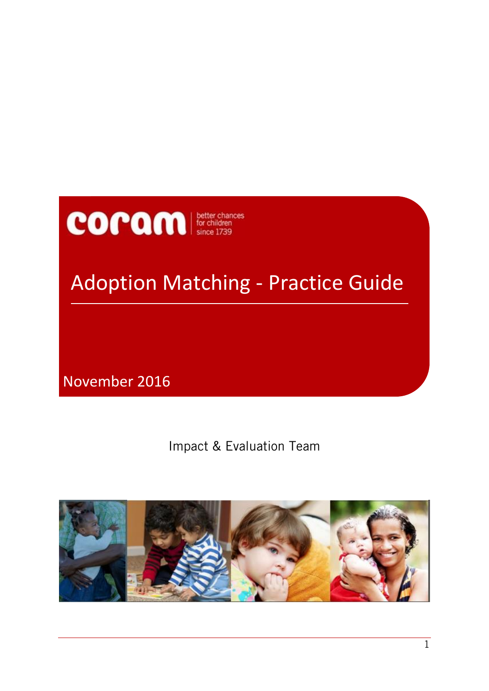# **COPAM** *since 1739*

## Adoption Matching - Practice Guide

November 2016

Impact & Evaluation Team

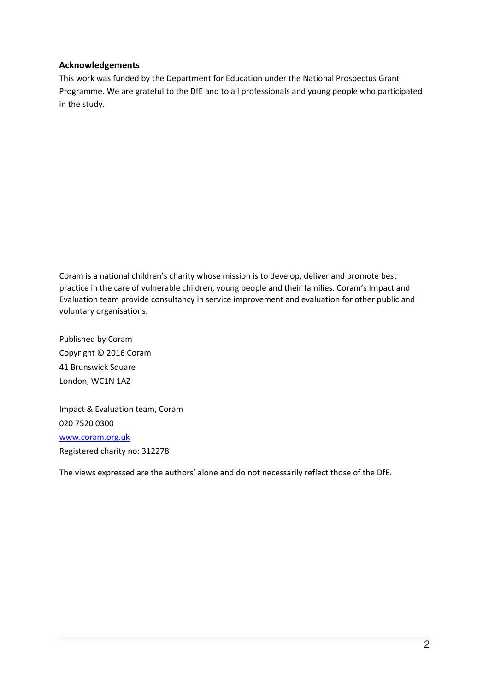#### <span id="page-1-0"></span>**Acknowledgements**

This work was funded by the Department for Education under the National Prospectus Grant Programme. We are grateful to the DfE and to all professionals and young people who participated in the study.

Coram is a national children's charity whose mission is to develop, deliver and promote best practice in the care of vulnerable children, young people and their families. Coram's Impact and Evaluation team provide consultancy in service improvement and evaluation for other public and voluntary organisations.

Published by Coram Copyright © 2016 Coram 41 Brunswick Square London, WC1N 1AZ

Impact & Evaluation team, Coram 020 7520 0300 [www.coram.org.uk](http://www.coram.org.uk/) Registered charity no: 312278

The views expressed are the authors' alone and do not necessarily reflect those of the DfE.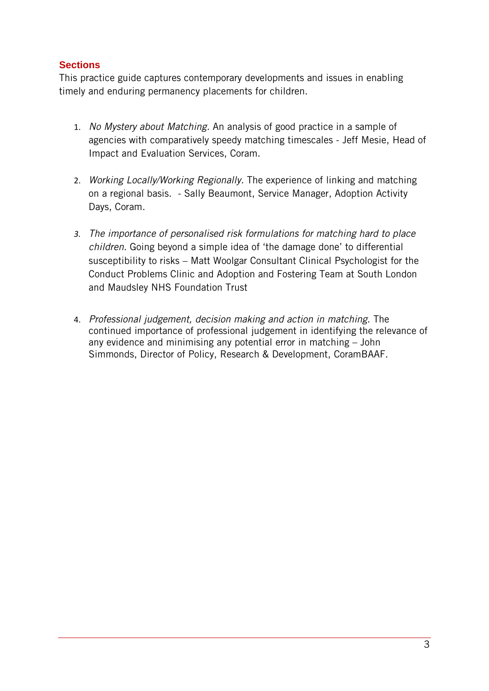#### <span id="page-2-0"></span>**Sections**

This practice guide captures contemporary developments and issues in enabling timely and enduring permanency placements for children.

- 1. *No Mystery about Matching.* An analysis of good practice in a sample of agencies with comparatively speedy matching timescales - Jeff Mesie, Head of Impact and Evaluation Services, Coram.
- 2. *Working Locally/Working Regionally.* The experience of linking and matching on a regional basis. - Sally Beaumont, Service Manager, Adoption Activity Days, Coram.
- *3. The importance of personalised risk formulations for matching hard to place children.* Going beyond a simple idea of 'the damage done' to differential susceptibility to risks – Matt Woolgar Consultant Clinical Psychologist for the Conduct Problems Clinic and Adoption and Fostering Team at South London and Maudsley NHS Foundation Trust
- 4. *Professional judgement, decision making and action in matching.* The continued importance of professional judgement in identifying the relevance of any evidence and minimising any potential error in matching – John Simmonds, Director of Policy, Research & Development, CoramBAAF.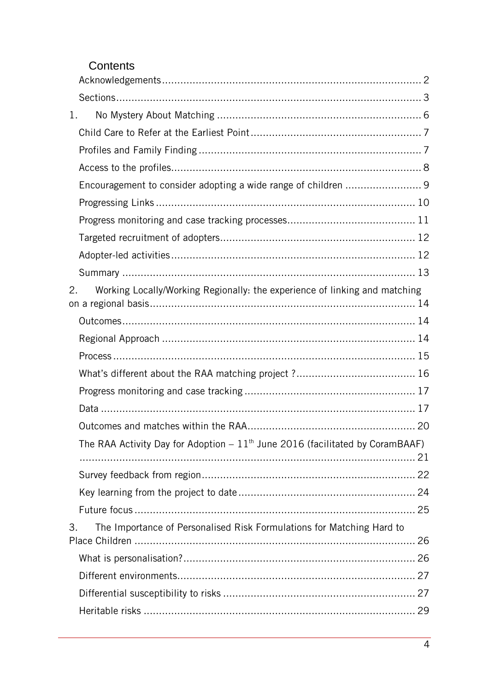### Contents

| 1.                                                                               |  |
|----------------------------------------------------------------------------------|--|
|                                                                                  |  |
|                                                                                  |  |
|                                                                                  |  |
| Encouragement to consider adopting a wide range of children  9                   |  |
|                                                                                  |  |
|                                                                                  |  |
|                                                                                  |  |
|                                                                                  |  |
|                                                                                  |  |
| Working Locally/Working Regionally: the experience of linking and matching<br>2. |  |
|                                                                                  |  |
|                                                                                  |  |
|                                                                                  |  |
|                                                                                  |  |
|                                                                                  |  |
|                                                                                  |  |
|                                                                                  |  |
| The RAA Activity Day for Adoption $-11th$ June 2016 (facilitated by CoramBAAF)   |  |
|                                                                                  |  |
|                                                                                  |  |
|                                                                                  |  |
| The Importance of Personalised Risk Formulations for Matching Hard to<br>3.      |  |
|                                                                                  |  |
|                                                                                  |  |
|                                                                                  |  |
|                                                                                  |  |
|                                                                                  |  |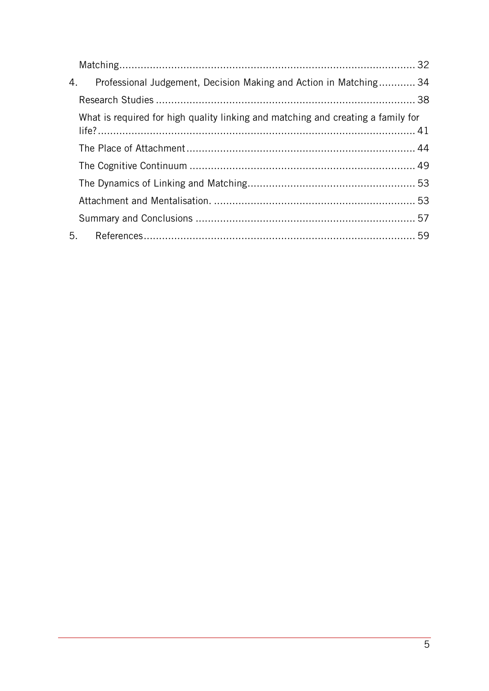| 4. Professional Judgement, Decision Making and Action in Matching 34             |  |
|----------------------------------------------------------------------------------|--|
|                                                                                  |  |
| What is required for high quality linking and matching and creating a family for |  |
|                                                                                  |  |
|                                                                                  |  |
|                                                                                  |  |
|                                                                                  |  |
|                                                                                  |  |
|                                                                                  |  |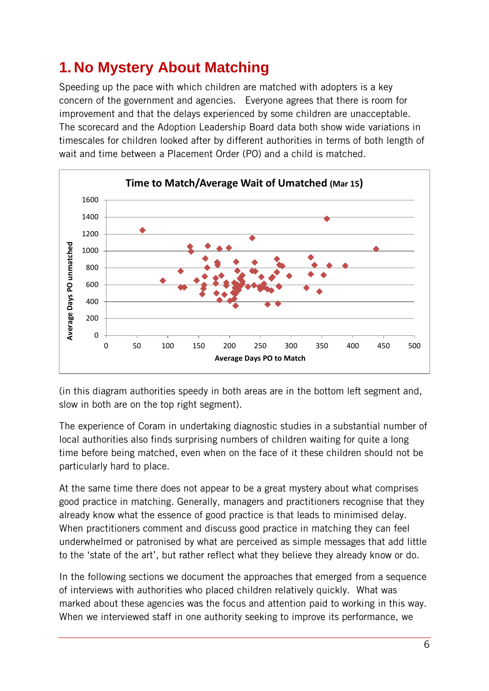## <span id="page-5-0"></span>**1. No Mystery About Matching**

Speeding up the pace with which children are matched with adopters is a key concern of the government and agencies. Everyone agrees that there is room for improvement and that the delays experienced by some children are unacceptable. The scorecard and the Adoption Leadership Board data both show wide variations in timescales for children looked after by different authorities in terms of both length of wait and time between a Placement Order (PO) and a child is matched.



(in this diagram authorities speedy in both areas are in the bottom left segment and, slow in both are on the top right segment).

The experience of Coram in undertaking diagnostic studies in a substantial number of local authorities also finds surprising numbers of children waiting for quite a long time before being matched, even when on the face of it these children should not be particularly hard to place.

At the same time there does not appear to be a great mystery about what comprises good practice in matching. Generally, managers and practitioners recognise that they already know what the essence of good practice is that leads to minimised delay. When practitioners comment and discuss good practice in matching they can feel underwhelmed or patronised by what are perceived as simple messages that add little to the 'state of the art', but rather reflect what they believe they already know or do.

In the following sections we document the approaches that emerged from a sequence of interviews with authorities who placed children relatively quickly. What was marked about these agencies was the focus and attention paid to working in this way. When we interviewed staff in one authority seeking to improve its performance, we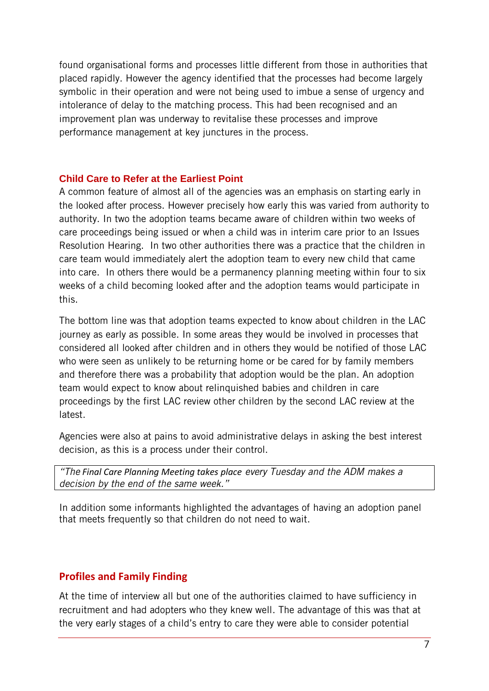found organisational forms and processes little different from those in authorities that placed rapidly. However the agency identified that the processes had become largely symbolic in their operation and were not being used to imbue a sense of urgency and intolerance of delay to the matching process. This had been recognised and an improvement plan was underway to revitalise these processes and improve performance management at key junctures in the process.

#### <span id="page-6-0"></span>**Child Care to Refer at the Earliest Point**

A common feature of almost all of the agencies was an emphasis on starting early in the looked after process. However precisely how early this was varied from authority to authority. In two the adoption teams became aware of children within two weeks of care proceedings being issued or when a child was in interim care prior to an Issues Resolution Hearing. In two other authorities there was a practice that the children in care team would immediately alert the adoption team to every new child that came into care. In others there would be a permanency planning meeting within four to six weeks of a child becoming looked after and the adoption teams would participate in this.

The bottom line was that adoption teams expected to know about children in the LAC journey as early as possible. In some areas they would be involved in processes that considered all looked after children and in others they would be notified of those LAC who were seen as unlikely to be returning home or be cared for by family members and therefore there was a probability that adoption would be the plan. An adoption team would expect to know about relinquished babies and children in care proceedings by the first LAC review other children by the second LAC review at the latest.

Agencies were also at pains to avoid administrative delays in asking the best interest decision, as this is a process under their control.

*"The Final Care Planning Meeting takes place every Tuesday and the ADM makes a decision by the end of the same week."*

In addition some informants highlighted the advantages of having an adoption panel that meets frequently so that children do not need to wait.

#### <span id="page-6-1"></span>**Profiles and Family Finding**

At the time of interview all but one of the authorities claimed to have sufficiency in recruitment and had adopters who they knew well. The advantage of this was that at the very early stages of a child's entry to care they were able to consider potential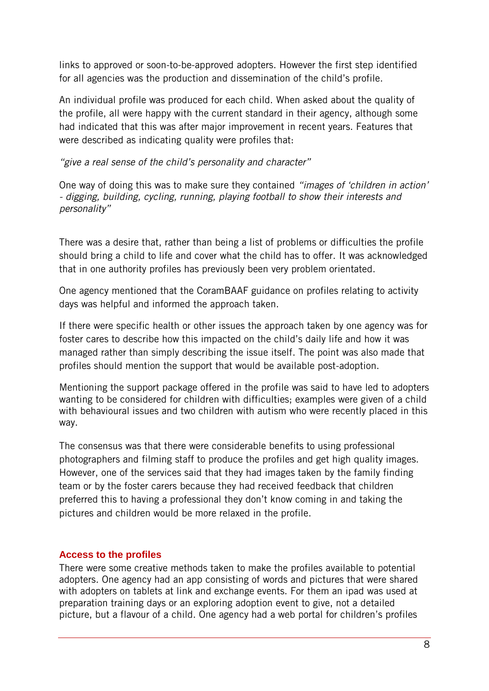links to approved or soon-to-be-approved adopters. However the first step identified for all agencies was the production and dissemination of the child's profile.

An individual profile was produced for each child. When asked about the quality of the profile, all were happy with the current standard in their agency, although some had indicated that this was after major improvement in recent years. Features that were described as indicating quality were profiles that:

*"give a real sense of the child's personality and character"*

One way of doing this was to make sure they contained *"images of 'children in action' - digging, building, cycling, running, playing football to show their interests and personality"*

There was a desire that, rather than being a list of problems or difficulties the profile should bring a child to life and cover what the child has to offer. It was acknowledged that in one authority profiles has previously been very problem orientated.

One agency mentioned that the CoramBAAF guidance on profiles relating to activity days was helpful and informed the approach taken.

If there were specific health or other issues the approach taken by one agency was for foster cares to describe how this impacted on the child's daily life and how it was managed rather than simply describing the issue itself. The point was also made that profiles should mention the support that would be available post-adoption.

Mentioning the support package offered in the profile was said to have led to adopters wanting to be considered for children with difficulties; examples were given of a child with behavioural issues and two children with autism who were recently placed in this way.

The consensus was that there were considerable benefits to using professional photographers and filming staff to produce the profiles and get high quality images. However, one of the services said that they had images taken by the family finding team or by the foster carers because they had received feedback that children preferred this to having a professional they don't know coming in and taking the pictures and children would be more relaxed in the profile.

#### <span id="page-7-0"></span>**Access to the profiles**

There were some creative methods taken to make the profiles available to potential adopters. One agency had an app consisting of words and pictures that were shared with adopters on tablets at link and exchange events. For them an ipad was used at preparation training days or an exploring adoption event to give, not a detailed picture, but a flavour of a child. One agency had a web portal for children's profiles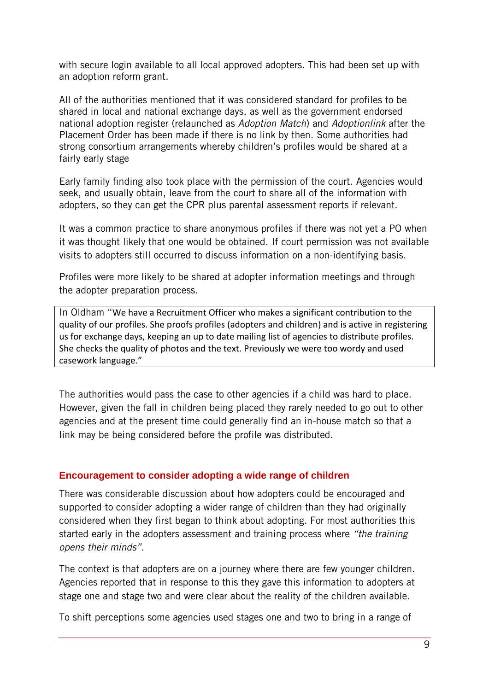with secure login available to all local approved adopters. This had been set up with an adoption reform grant.

All of the authorities mentioned that it was considered standard for profiles to be shared in local and national exchange days, as well as the government endorsed national adoption register (relaunched as *Adoption Match*) and *Adoptionlink* after the Placement Order has been made if there is no link by then. Some authorities had strong consortium arrangements whereby children's profiles would be shared at a fairly early stage

Early family finding also took place with the permission of the court. Agencies would seek, and usually obtain, leave from the court to share all of the information with adopters, so they can get the CPR plus parental assessment reports if relevant.

It was a common practice to share anonymous profiles if there was not yet a PO when it was thought likely that one would be obtained. If court permission was not available visits to adopters still occurred to discuss information on a non-identifying basis.

Profiles were more likely to be shared at adopter information meetings and through the adopter preparation process.

In Oldham "We have a Recruitment Officer who makes a significant contribution to the quality of our profiles. She proofs profiles (adopters and children) and is active in registering us for exchange days, keeping an up to date mailing list of agencies to distribute profiles. She checks the quality of photos and the text. Previously we were too wordy and used casework language."

The authorities would pass the case to other agencies if a child was hard to place. However, given the fall in children being placed they rarely needed to go out to other agencies and at the present time could generally find an in-house match so that a link may be being considered before the profile was distributed.

#### <span id="page-8-0"></span>**Encouragement to consider adopting a wide range of children**

There was considerable discussion about how adopters could be encouraged and supported to consider adopting a wider range of children than they had originally considered when they first began to think about adopting. For most authorities this started early in the adopters assessment and training process where *"the training opens their minds".*

The context is that adopters are on a journey where there are few younger children. Agencies reported that in response to this they gave this information to adopters at stage one and stage two and were clear about the reality of the children available.

To shift perceptions some agencies used stages one and two to bring in a range of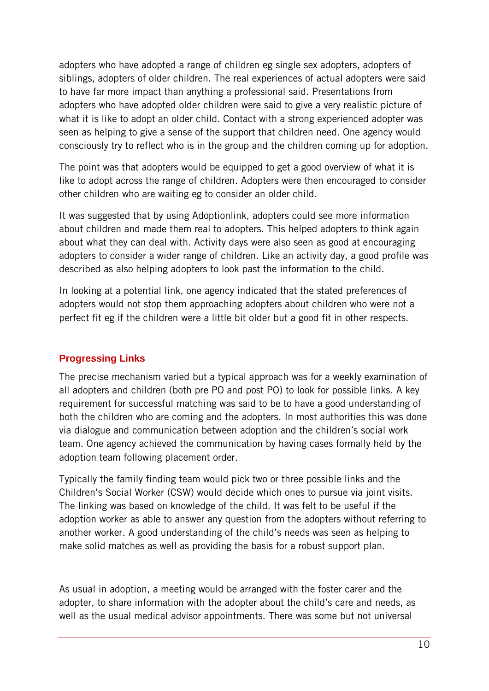adopters who have adopted a range of children eg single sex adopters, adopters of siblings, adopters of older children. The real experiences of actual adopters were said to have far more impact than anything a professional said. Presentations from adopters who have adopted older children were said to give a very realistic picture of what it is like to adopt an older child. Contact with a strong experienced adopter was seen as helping to give a sense of the support that children need. One agency would consciously try to reflect who is in the group and the children coming up for adoption.

The point was that adopters would be equipped to get a good overview of what it is like to adopt across the range of children. Adopters were then encouraged to consider other children who are waiting eg to consider an older child.

It was suggested that by using Adoptionlink, adopters could see more information about children and made them real to adopters. This helped adopters to think again about what they can deal with. Activity days were also seen as good at encouraging adopters to consider a wider range of children. Like an activity day, a good profile was described as also helping adopters to look past the information to the child.

In looking at a potential link, one agency indicated that the stated preferences of adopters would not stop them approaching adopters about children who were not a perfect fit eg if the children were a little bit older but a good fit in other respects.

#### <span id="page-9-0"></span>**Progressing Links**

The precise mechanism varied but a typical approach was for a weekly examination of all adopters and children (both pre PO and post PO) to look for possible links. A key requirement for successful matching was said to be to have a good understanding of both the children who are coming and the adopters. In most authorities this was done via dialogue and communication between adoption and the children's social work team. One agency achieved the communication by having cases formally held by the adoption team following placement order.

Typically the family finding team would pick two or three possible links and the Children's Social Worker (CSW) would decide which ones to pursue via joint visits. The linking was based on knowledge of the child. It was felt to be useful if the adoption worker as able to answer any question from the adopters without referring to another worker. A good understanding of the child's needs was seen as helping to make solid matches as well as providing the basis for a robust support plan.

As usual in adoption, a meeting would be arranged with the foster carer and the adopter, to share information with the adopter about the child's care and needs, as well as the usual medical advisor appointments. There was some but not universal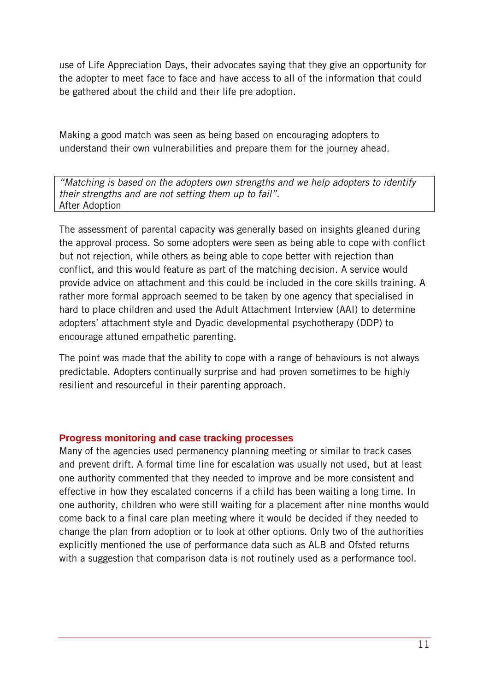use of Life Appreciation Days, their advocates saying that they give an opportunity for the adopter to meet face to face and have access to all of the information that could be gathered about the child and their life pre adoption.

Making a good match was seen as being based on encouraging adopters to understand their own vulnerabilities and prepare them for the journey ahead.

*"Matching is based on the adopters own strengths and we help adopters to identify their strengths and are not setting them up to fail".* After Adoption

The assessment of parental capacity was generally based on insights gleaned during the approval process. So some adopters were seen as being able to cope with conflict but not rejection, while others as being able to cope better with rejection than conflict, and this would feature as part of the matching decision. A service would provide advice on attachment and this could be included in the core skills training. A rather more formal approach seemed to be taken by one agency that specialised in hard to place children and used the Adult Attachment Interview (AAI) to determine adopters' attachment style and Dyadic developmental psychotherapy (DDP) to encourage attuned empathetic parenting.

The point was made that the ability to cope with a range of behaviours is not always predictable. Adopters continually surprise and had proven sometimes to be highly resilient and resourceful in their parenting approach.

#### <span id="page-10-0"></span>**Progress monitoring and case tracking processes**

Many of the agencies used permanency planning meeting or similar to track cases and prevent drift. A formal time line for escalation was usually not used, but at least one authority commented that they needed to improve and be more consistent and effective in how they escalated concerns if a child has been waiting a long time. In one authority, children who were still waiting for a placement after nine months would come back to a final care plan meeting where it would be decided if they needed to change the plan from adoption or to look at other options. Only two of the authorities explicitly mentioned the use of performance data such as ALB and Ofsted returns with a suggestion that comparison data is not routinely used as a performance tool.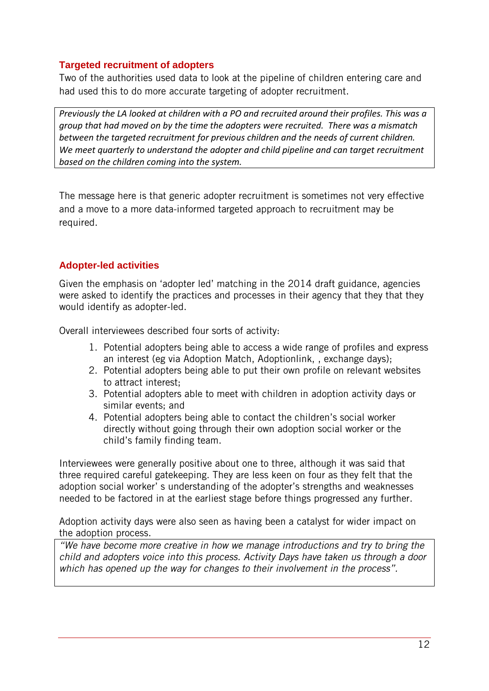#### <span id="page-11-0"></span>**Targeted recruitment of adopters**

Two of the authorities used data to look at the pipeline of children entering care and had used this to do more accurate targeting of adopter recruitment.

*Previously the LA looked at children with a PO and recruited around their profiles. This was a group that had moved on by the time the adopters were recruited. There was a mismatch between the targeted recruitment for previous children and the needs of current children. We meet quarterly to understand the adopter and child pipeline and can target recruitment based on the children coming into the system.*

The message here is that generic adopter recruitment is sometimes not very effective and a move to a more data-informed targeted approach to recruitment may be required.

#### <span id="page-11-1"></span>**Adopter-led activities**

Given the emphasis on 'adopter led' matching in the 2014 draft guidance, agencies were asked to identify the practices and processes in their agency that they that they would identify as adopter-led.

Overall interviewees described four sorts of activity:

- 1. Potential adopters being able to access a wide range of profiles and express an interest (eg via Adoption Match, Adoptionlink, , exchange days);
- 2. Potential adopters being able to put their own profile on relevant websites to attract interest;
- 3. Potential adopters able to meet with children in adoption activity days or similar events; and
- 4. Potential adopters being able to contact the children's social worker directly without going through their own adoption social worker or the child's family finding team.

Interviewees were generally positive about one to three, although it was said that three required careful gatekeeping. They are less keen on four as they felt that the adoption social worker' s understanding of the adopter's strengths and weaknesses needed to be factored in at the earliest stage before things progressed any further.

Adoption activity days were also seen as having been a catalyst for wider impact on the adoption process.

*"We have become more creative in how we manage introductions and try to bring the child and adopters voice into this process. Activity Days have taken us through a door which has opened up the way for changes to their involvement in the process".*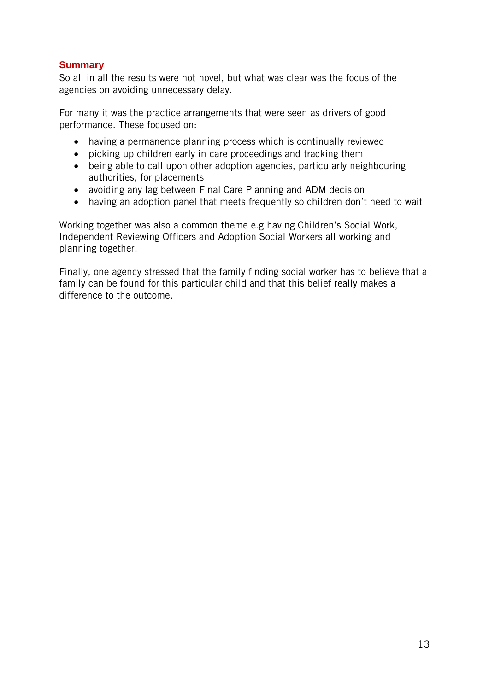#### <span id="page-12-0"></span>**Summary**

So all in all the results were not novel, but what was clear was the focus of the agencies on avoiding unnecessary delay.

For many it was the practice arrangements that were seen as drivers of good performance. These focused on:

- having a permanence planning process which is continually reviewed
- picking up children early in care proceedings and tracking them
- being able to call upon other adoption agencies, particularly neighbouring authorities, for placements
- avoiding any lag between Final Care Planning and ADM decision
- having an adoption panel that meets frequently so children don't need to wait

Working together was also a common theme e.g having Children's Social Work, Independent Reviewing Officers and Adoption Social Workers all working and planning together.

Finally, one agency stressed that the family finding social worker has to believe that a family can be found for this particular child and that this belief really makes a difference to the outcome.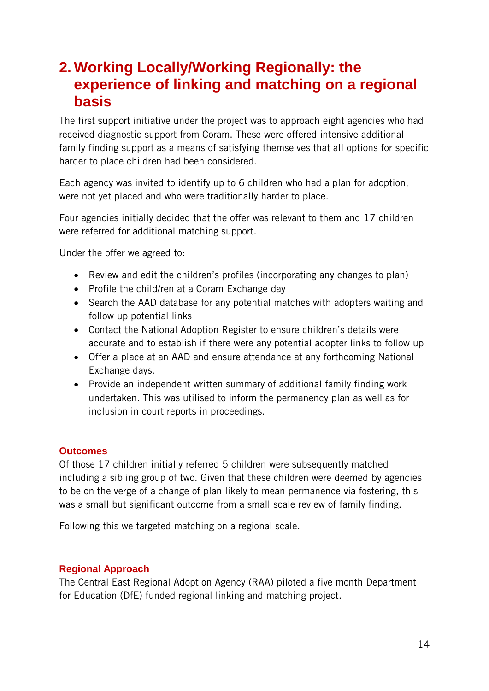## <span id="page-13-0"></span>**2. Working Locally/Working Regionally: the experience of linking and matching on a regional basis**

The first support initiative under the project was to approach eight agencies who had received diagnostic support from Coram. These were offered intensive additional family finding support as a means of satisfying themselves that all options for specific harder to place children had been considered.

Each agency was invited to identify up to 6 children who had a plan for adoption, were not yet placed and who were traditionally harder to place.

Four agencies initially decided that the offer was relevant to them and 17 children were referred for additional matching support.

Under the offer we agreed to:

- Review and edit the children's profiles (incorporating any changes to plan)
- Profile the child/ren at a Coram Exchange day
- Search the AAD database for any potential matches with adopters waiting and follow up potential links
- Contact the National Adoption Register to ensure children's details were accurate and to establish if there were any potential adopter links to follow up
- Offer a place at an AAD and ensure attendance at any forthcoming National Exchange days.
- Provide an independent written summary of additional family finding work undertaken. This was utilised to inform the permanency plan as well as for inclusion in court reports in proceedings.

#### <span id="page-13-1"></span>**Outcomes**

Of those 17 children initially referred 5 children were subsequently matched including a sibling group of two. Given that these children were deemed by agencies to be on the verge of a change of plan likely to mean permanence via fostering, this was a small but significant outcome from a small scale review of family finding.

Following this we targeted matching on a regional scale.

#### <span id="page-13-2"></span>**Regional Approach**

The Central East Regional Adoption Agency (RAA) piloted a five month Department for Education (DfE) funded regional linking and matching project.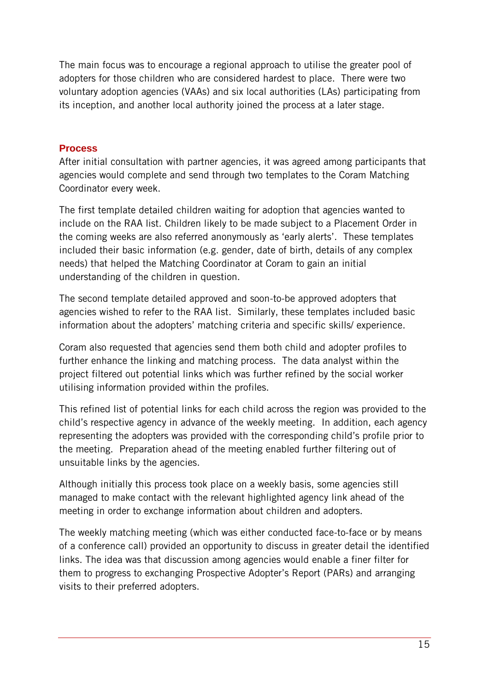The main focus was to encourage a regional approach to utilise the greater pool of adopters for those children who are considered hardest to place. There were two voluntary adoption agencies (VAAs) and six local authorities (LAs) participating from its inception, and another local authority joined the process at a later stage.

#### <span id="page-14-0"></span>**Process**

After initial consultation with partner agencies, it was agreed among participants that agencies would complete and send through two templates to the Coram Matching Coordinator every week.

The first template detailed children waiting for adoption that agencies wanted to include on the RAA list. Children likely to be made subject to a Placement Order in the coming weeks are also referred anonymously as 'early alerts'. These templates included their basic information (e.g. gender, date of birth, details of any complex needs) that helped the Matching Coordinator at Coram to gain an initial understanding of the children in question.

The second template detailed approved and soon-to-be approved adopters that agencies wished to refer to the RAA list. Similarly, these templates included basic information about the adopters' matching criteria and specific skills/ experience.

Coram also requested that agencies send them both child and adopter profiles to further enhance the linking and matching process. The data analyst within the project filtered out potential links which was further refined by the social worker utilising information provided within the profiles.

This refined list of potential links for each child across the region was provided to the child's respective agency in advance of the weekly meeting. In addition, each agency representing the adopters was provided with the corresponding child's profile prior to the meeting. Preparation ahead of the meeting enabled further filtering out of unsuitable links by the agencies.

Although initially this process took place on a weekly basis, some agencies still managed to make contact with the relevant highlighted agency link ahead of the meeting in order to exchange information about children and adopters.

The weekly matching meeting (which was either conducted face-to-face or by means of a conference call) provided an opportunity to discuss in greater detail the identified links. The idea was that discussion among agencies would enable a finer filter for them to progress to exchanging Prospective Adopter's Report (PARs) and arranging visits to their preferred adopters.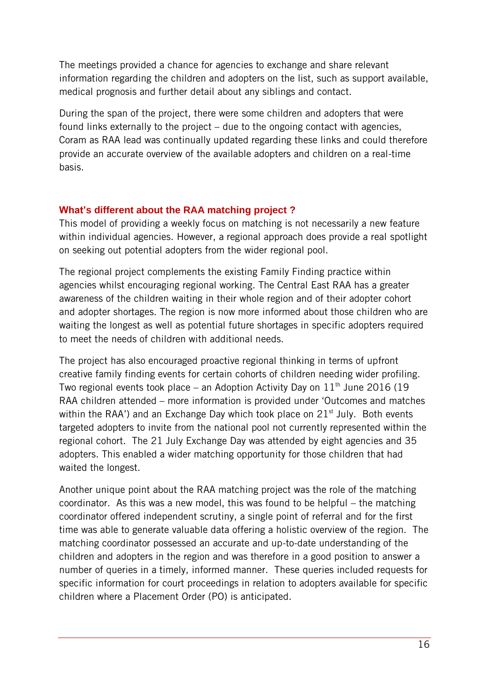The meetings provided a chance for agencies to exchange and share relevant information regarding the children and adopters on the list, such as support available, medical prognosis and further detail about any siblings and contact.

During the span of the project, there were some children and adopters that were found links externally to the project – due to the ongoing contact with agencies, Coram as RAA lead was continually updated regarding these links and could therefore provide an accurate overview of the available adopters and children on a real-time basis.

#### <span id="page-15-0"></span>**What's different about the RAA matching project ?**

This model of providing a weekly focus on matching is not necessarily a new feature within individual agencies. However, a regional approach does provide a real spotlight on seeking out potential adopters from the wider regional pool.

The regional project complements the existing Family Finding practice within agencies whilst encouraging regional working. The Central East RAA has a greater awareness of the children waiting in their whole region and of their adopter cohort and adopter shortages. The region is now more informed about those children who are waiting the longest as well as potential future shortages in specific adopters required to meet the needs of children with additional needs.

The project has also encouraged proactive regional thinking in terms of upfront creative family finding events for certain cohorts of children needing wider profiling. Two regional events took place – an Adoption Activity Day on  $11<sup>th</sup>$  June 2016 (19) RAA children attended – more information is provided under 'Outcomes and matches within the RAA') and an Exchange Day which took place on  $21<sup>st</sup>$  July. Both events targeted adopters to invite from the national pool not currently represented within the regional cohort. The 21 July Exchange Day was attended by eight agencies and 35 adopters. This enabled a wider matching opportunity for those children that had waited the longest.

Another unique point about the RAA matching project was the role of the matching coordinator. As this was a new model, this was found to be helpful – the matching coordinator offered independent scrutiny, a single point of referral and for the first time was able to generate valuable data offering a holistic overview of the region. The matching coordinator possessed an accurate and up-to-date understanding of the children and adopters in the region and was therefore in a good position to answer a number of queries in a timely, informed manner. These queries included requests for specific information for court proceedings in relation to adopters available for specific children where a Placement Order (PO) is anticipated.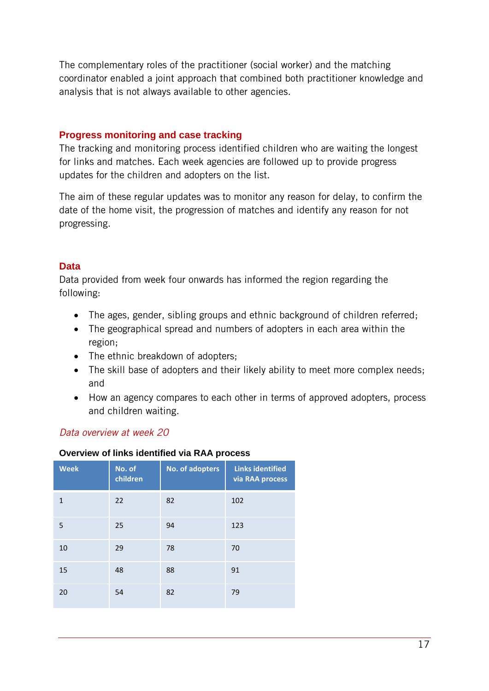The complementary roles of the practitioner (social worker) and the matching coordinator enabled a joint approach that combined both practitioner knowledge and analysis that is not always available to other agencies.

#### <span id="page-16-0"></span>**Progress monitoring and case tracking**

The tracking and monitoring process identified children who are waiting the longest for links and matches. Each week agencies are followed up to provide progress updates for the children and adopters on the list.

The aim of these regular updates was to monitor any reason for delay, to confirm the date of the home visit, the progression of matches and identify any reason for not progressing.

#### <span id="page-16-1"></span>**Data**

Data provided from week four onwards has informed the region regarding the following:

- The ages, gender, sibling groups and ethnic background of children referred;
- The geographical spread and numbers of adopters in each area within the region;
- The ethnic breakdown of adopters;
- The skill base of adopters and their likely ability to meet more complex needs; and
- How an agency compares to each other in terms of approved adopters, process and children waiting.

#### *Data overview at week 20*

#### **Overview of links identified via RAA process**

| <b>Week</b> | No. of<br>children | No. of adopters | <b>Links identified</b><br>via RAA process |
|-------------|--------------------|-----------------|--------------------------------------------|
| 1           | 22                 | 82              | 102                                        |
| 5           | 25                 | 94              | 123                                        |
| 10          | 29                 | 78              | 70                                         |
| 15          | 48                 | 88              | 91                                         |
| 20          | 54                 | 82              | 79                                         |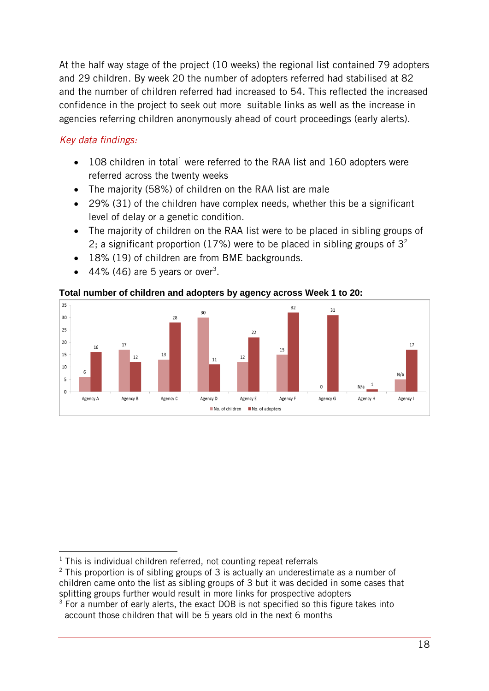At the half way stage of the project (10 weeks) the regional list contained 79 adopters and 29 children. By week 20 the number of adopters referred had stabilised at 82 and the number of children referred had increased to 54. This reflected the increased confidence in the project to seek out more suitable links as well as the increase in agencies referring children anonymously ahead of court proceedings (early alerts).

#### *Key data findings:*

- $\bullet$  108 children in total<sup>1</sup> were referred to the RAA list and 160 adopters were referred across the twenty weeks
- The majority (58%) of children on the RAA list are male
- 29% (31) of the children have complex needs, whether this be a significant level of delay or a genetic condition.
- The majority of children on the RAA list were to be placed in sibling groups of 2; a significant proportion (17%) were to be placed in sibling groups of  $3<sup>2</sup>$
- 18% (19) of children are from BME backgrounds.
- $\bullet$  44% (46) are 5 years or over<sup>3</sup>.

#### **Total number of children and adopters by agency across Week 1 to 20:**



 $\overline{a}$  $1$  This is individual children referred, not counting repeat referrals

 $2$  This proportion is of sibling groups of 3 is actually an underestimate as a number of children came onto the list as sibling groups of 3 but it was decided in some cases that splitting groups further would result in more links for prospective adopters

 $3$  For a number of early alerts, the exact DOB is not specified so this figure takes into account those children that will be 5 years old in the next 6 months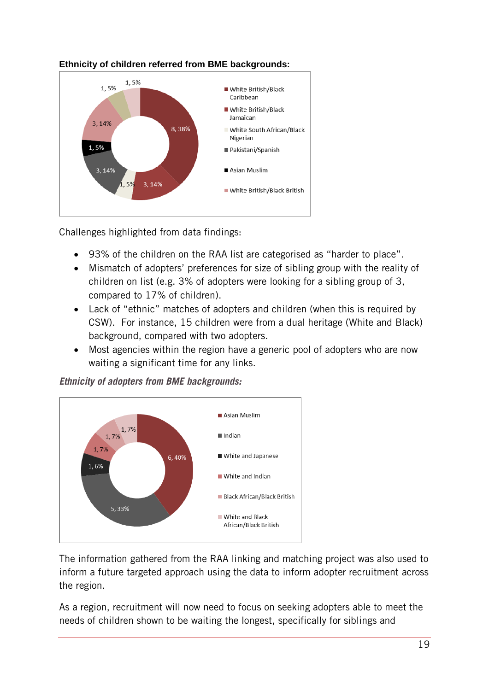

#### **Ethnicity of children referred from BME backgrounds:**

Challenges highlighted from data findings:

- 93% of the children on the RAA list are categorised as "harder to place".
- Mismatch of adopters' preferences for size of sibling group with the reality of children on list (e.g. 3% of adopters were looking for a sibling group of 3, compared to 17% of children).
- Lack of "ethnic" matches of adopters and children (when this is required by CSW). For instance, 15 children were from a dual heritage (White and Black) background, compared with two adopters.
- Most agencies within the region have a generic pool of adopters who are now waiting a significant time for any links.

#### *Ethnicity of adopters from BME backgrounds:*



The information gathered from the RAA linking and matching project was also used to inform a future targeted approach using the data to inform adopter recruitment across the region.

As a region, recruitment will now need to focus on seeking adopters able to meet the needs of children shown to be waiting the longest, specifically for siblings and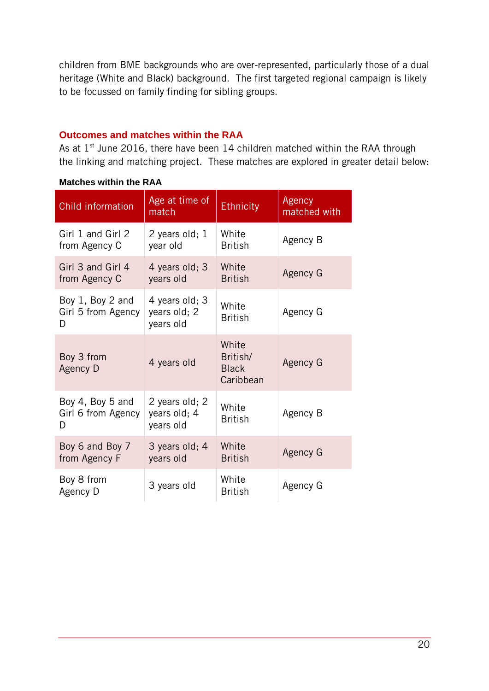children from BME backgrounds who are over-represented, particularly those of a dual heritage (White and Black) background. The first targeted regional campaign is likely to be focussed on family finding for sibling groups.

#### <span id="page-19-0"></span>**Outcomes and matches within the RAA**

As at  $1<sup>st</sup>$  June 2016, there have been 14 children matched within the RAA through the linking and matching project. These matches are explored in greater detail below:

| Child information                           | Age at time of<br>match                     | <b>Ethnicity</b>                               | Agency<br>matched with |
|---------------------------------------------|---------------------------------------------|------------------------------------------------|------------------------|
| Girl 1 and Girl 2<br>from Agency C          | 2 years old; 1<br>year old                  | White<br><b>British</b>                        | Agency B               |
| Girl 3 and Girl 4<br>from Agency C          | 4 years old; 3<br>years old                 | White<br><b>British</b>                        | Agency G               |
| Boy 1, Boy 2 and<br>Girl 5 from Agency<br>D | 4 years old; 3<br>years old; 2<br>years old | White<br><b>British</b>                        | Agency G               |
| Boy 3 from<br>Agency D                      | 4 years old                                 | White<br>British/<br><b>Black</b><br>Caribbean | Agency G               |
| Boy 4, Boy 5 and<br>Girl 6 from Agency<br>D | 2 years old; 2<br>years old; 4<br>years old | White<br><b>British</b>                        | Agency B               |
| Boy 6 and Boy 7<br>from Agency F            | 3 years old; 4<br>years old                 | White<br><b>British</b>                        | Agency G               |
| Boy 8 from<br>Agency D                      | 3 years old                                 | White<br><b>British</b>                        | Agency G               |

#### **Matches within the RAA**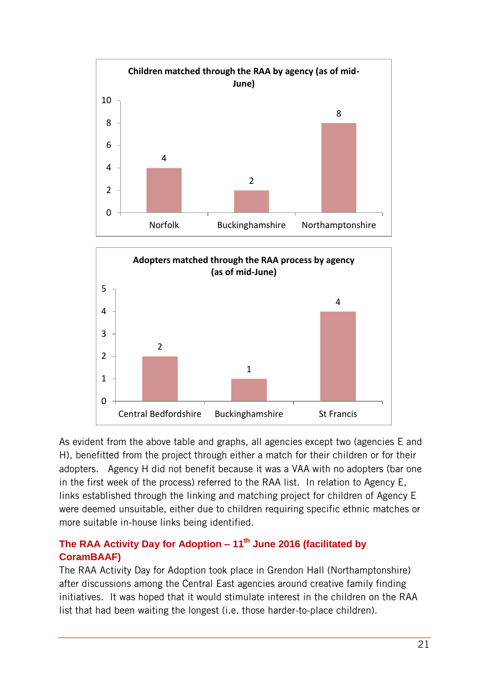



As evident from the above table and graphs, all agencies except two (agencies E and H), benefitted from the project through either a match for their children or for their adopters. Agency H did not benefit because it was a VAA with no adopters (bar one in the first week of the process) referred to the RAA list. In relation to Agency E, links established through the linking and matching project for children of Agency E were deemed unsuitable, either due to children requiring specific ethnic matches or more suitable in-house links being identified.

#### <span id="page-20-0"></span>**The RAA Activity Day for Adoption – 11th June 2016 (facilitated by CoramBAAF)**

The RAA Activity Day for Adoption took place in Grendon Hall (Northamptonshire) after discussions among the Central East agencies around creative family finding initiatives. It was hoped that it would stimulate interest in the children on the RAA list that had been waiting the longest (i.e. those harder-to-place children).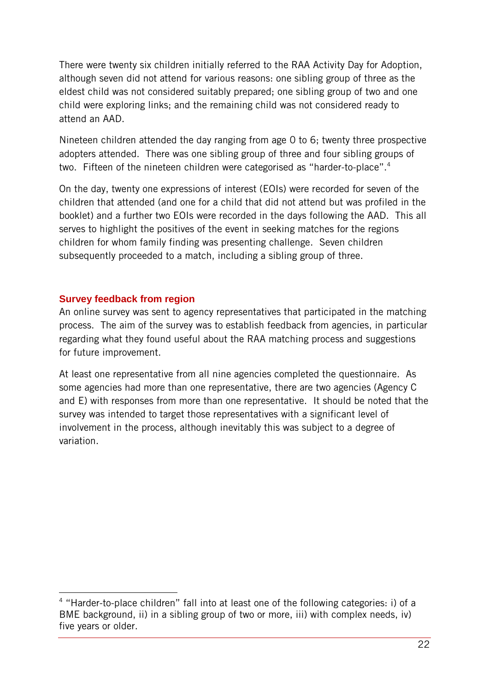There were twenty six children initially referred to the RAA Activity Day for Adoption, although seven did not attend for various reasons: one sibling group of three as the eldest child was not considered suitably prepared; one sibling group of two and one child were exploring links; and the remaining child was not considered ready to attend an AAD.

Nineteen children attended the day ranging from age 0 to 6; twenty three prospective adopters attended. There was one sibling group of three and four sibling groups of two. Fifteen of the nineteen children were categorised as "harder-to-place".<sup>4</sup>

On the day, twenty one expressions of interest (EOIs) were recorded for seven of the children that attended (and one for a child that did not attend but was profiled in the booklet) and a further two EOIs were recorded in the days following the AAD. This all serves to highlight the positives of the event in seeking matches for the regions children for whom family finding was presenting challenge. Seven children subsequently proceeded to a match, including a sibling group of three.

#### <span id="page-21-0"></span>**Survey feedback from region**

 $\overline{a}$ 

An online survey was sent to agency representatives that participated in the matching process. The aim of the survey was to establish feedback from agencies, in particular regarding what they found useful about the RAA matching process and suggestions for future improvement.

At least one representative from all nine agencies completed the questionnaire. As some agencies had more than one representative, there are two agencies (Agency C and E) with responses from more than one representative. It should be noted that the survey was intended to target those representatives with a significant level of involvement in the process, although inevitably this was subject to a degree of variation.

<sup>&</sup>lt;sup>4</sup> "Harder-to-place children" fall into at least one of the following categories: i) of a BME background, ii) in a sibling group of two or more, iii) with complex needs, iv) five years or older.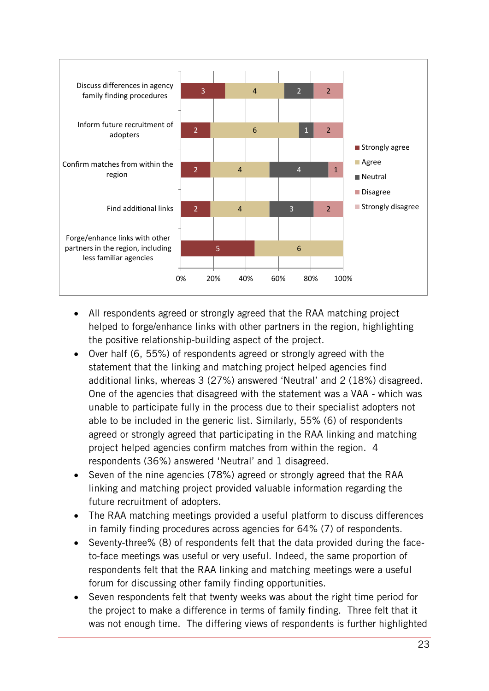

- All respondents agreed or strongly agreed that the RAA matching project helped to forge/enhance links with other partners in the region, highlighting the positive relationship-building aspect of the project.
- Over half (6, 55%) of respondents agreed or strongly agreed with the statement that the linking and matching project helped agencies find additional links, whereas 3 (27%) answered 'Neutral' and 2 (18%) disagreed. One of the agencies that disagreed with the statement was a VAA - which was unable to participate fully in the process due to their specialist adopters not able to be included in the generic list. Similarly, 55% (6) of respondents agreed or strongly agreed that participating in the RAA linking and matching project helped agencies confirm matches from within the region. 4 respondents (36%) answered 'Neutral' and 1 disagreed.
- Seven of the nine agencies (78%) agreed or strongly agreed that the RAA linking and matching project provided valuable information regarding the future recruitment of adopters.
- The RAA matching meetings provided a useful platform to discuss differences in family finding procedures across agencies for 64% (7) of respondents.
- Seventy-three% (8) of respondents felt that the data provided during the faceto-face meetings was useful or very useful. Indeed, the same proportion of respondents felt that the RAA linking and matching meetings were a useful forum for discussing other family finding opportunities.
- Seven respondents felt that twenty weeks was about the right time period for the project to make a difference in terms of family finding. Three felt that it was not enough time. The differing views of respondents is further highlighted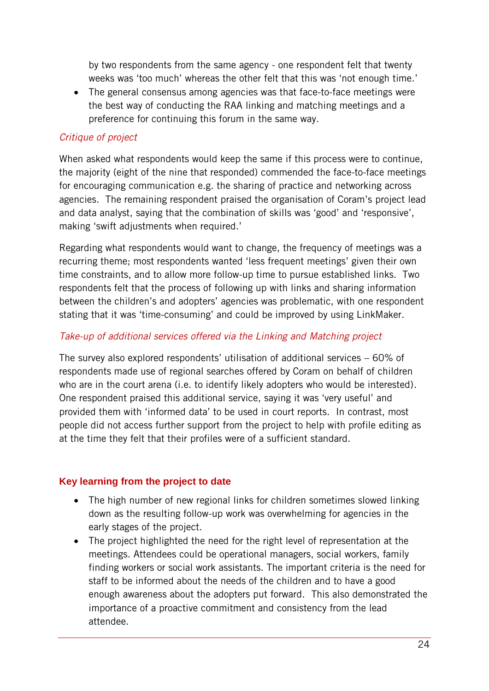by two respondents from the same agency - one respondent felt that twenty weeks was 'too much' whereas the other felt that this was 'not enough time.'

 The general consensus among agencies was that face-to-face meetings were the best way of conducting the RAA linking and matching meetings and a preference for continuing this forum in the same way.

#### *Critique of project*

When asked what respondents would keep the same if this process were to continue, the majority (eight of the nine that responded) commended the face-to-face meetings for encouraging communication e.g. the sharing of practice and networking across agencies. The remaining respondent praised the organisation of Coram's project lead and data analyst, saying that the combination of skills was 'good' and 'responsive', making 'swift adjustments when required.'

Regarding what respondents would want to change, the frequency of meetings was a recurring theme; most respondents wanted 'less frequent meetings' given their own time constraints, and to allow more follow-up time to pursue established links. Two respondents felt that the process of following up with links and sharing information between the children's and adopters' agencies was problematic, with one respondent stating that it was 'time-consuming' and could be improved by using LinkMaker.

#### *Take-up of additional services offered via the Linking and Matching project*

The survey also explored respondents' utilisation of additional services – 60% of respondents made use of regional searches offered by Coram on behalf of children who are in the court arena (i.e. to identify likely adopters who would be interested). One respondent praised this additional service, saying it was 'very useful' and provided them with 'informed data' to be used in court reports. In contrast, most people did not access further support from the project to help with profile editing as at the time they felt that their profiles were of a sufficient standard.

#### <span id="page-23-0"></span>**Key learning from the project to date**

- The high number of new regional links for children sometimes slowed linking down as the resulting follow-up work was overwhelming for agencies in the early stages of the project.
- The project highlighted the need for the right level of representation at the meetings. Attendees could be operational managers, social workers, family finding workers or social work assistants. The important criteria is the need for staff to be informed about the needs of the children and to have a good enough awareness about the adopters put forward. This also demonstrated the importance of a proactive commitment and consistency from the lead attendee.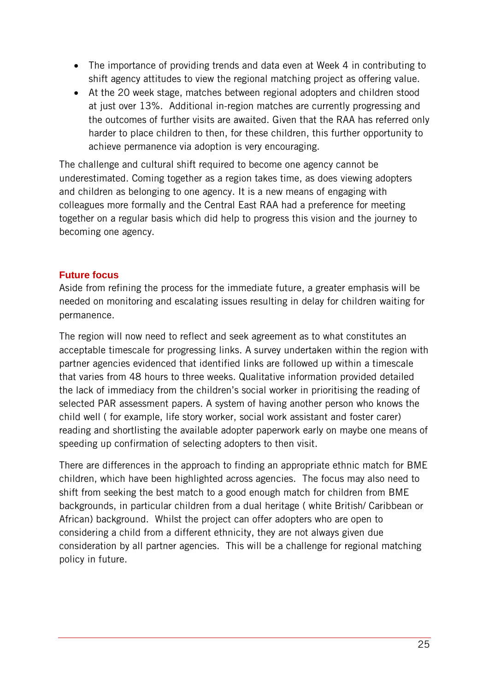- The importance of providing trends and data even at Week 4 in contributing to shift agency attitudes to view the regional matching project as offering value.
- At the 20 week stage, matches between regional adopters and children stood at just over 13%. Additional in-region matches are currently progressing and the outcomes of further visits are awaited. Given that the RAA has referred only harder to place children to then, for these children, this further opportunity to achieve permanence via adoption is very encouraging.

The challenge and cultural shift required to become one agency cannot be underestimated. Coming together as a region takes time, as does viewing adopters and children as belonging to one agency. It is a new means of engaging with colleagues more formally and the Central East RAA had a preference for meeting together on a regular basis which did help to progress this vision and the journey to becoming one agency.

#### <span id="page-24-0"></span>**Future focus**

Aside from refining the process for the immediate future, a greater emphasis will be needed on monitoring and escalating issues resulting in delay for children waiting for permanence.

The region will now need to reflect and seek agreement as to what constitutes an acceptable timescale for progressing links. A survey undertaken within the region with partner agencies evidenced that identified links are followed up within a timescale that varies from 48 hours to three weeks. Qualitative information provided detailed the lack of immediacy from the children's social worker in prioritising the reading of selected PAR assessment papers. A system of having another person who knows the child well ( for example, life story worker, social work assistant and foster carer) reading and shortlisting the available adopter paperwork early on maybe one means of speeding up confirmation of selecting adopters to then visit.

There are differences in the approach to finding an appropriate ethnic match for BME children, which have been highlighted across agencies. The focus may also need to shift from seeking the best match to a good enough match for children from BME backgrounds, in particular children from a dual heritage ( white British/ Caribbean or African) background. Whilst the project can offer adopters who are open to considering a child from a different ethnicity, they are not always given due consideration by all partner agencies. This will be a challenge for regional matching policy in future.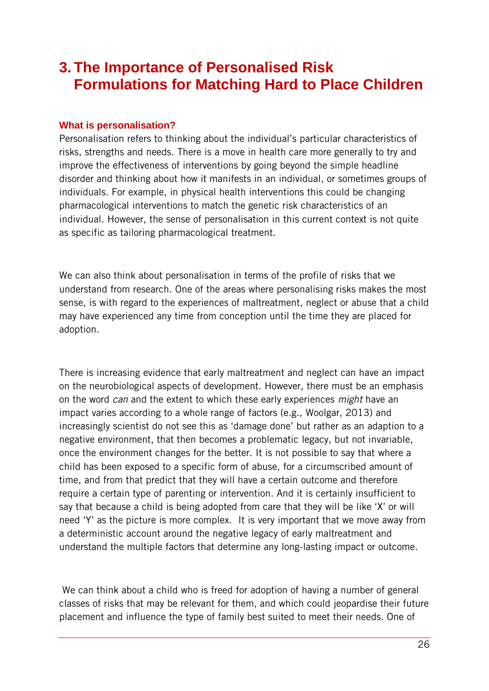## <span id="page-25-0"></span>**3. The Importance of Personalised Risk Formulations for Matching Hard to Place Children**

#### <span id="page-25-1"></span>**What is personalisation?**

Personalisation refers to thinking about the individual's particular characteristics of risks, strengths and needs. There is a move in health care more generally to try and improve the effectiveness of interventions by going beyond the simple headline disorder and thinking about how it manifests in an individual, or sometimes groups of individuals. For example, in physical health interventions this could be changing pharmacological interventions to match the genetic risk characteristics of an individual. However, the sense of personalisation in this current context is not quite as specific as tailoring pharmacological treatment.

We can also think about personalisation in terms of the profile of risks that we understand from research. One of the areas where personalising risks makes the most sense, is with regard to the experiences of maltreatment, neglect or abuse that a child may have experienced any time from conception until the time they are placed for adoption.

There is increasing evidence that early maltreatment and neglect can have an impact on the neurobiological aspects of development. However, there must be an emphasis on the word *can* and the extent to which these early experiences *might* have an impact varies according to a whole range of factors (e.g., Woolgar, 2013) and increasingly scientist do not see this as 'damage done' but rather as an adaption to a negative environment, that then becomes a problematic legacy, but not invariable, once the environment changes for the better. It is not possible to say that where a child has been exposed to a specific form of abuse, for a circumscribed amount of time, and from that predict that they will have a certain outcome and therefore require a certain type of parenting or intervention. And it is certainly insufficient to say that because a child is being adopted from care that they will be like 'X' or will need 'Y' as the picture is more complex. It is very important that we move away from a deterministic account around the negative legacy of early maltreatment and understand the multiple factors that determine any long-lasting impact or outcome.

We can think about a child who is freed for adoption of having a number of general classes of risks that may be relevant for them, and which could jeopardise their future placement and influence the type of family best suited to meet their needs. One of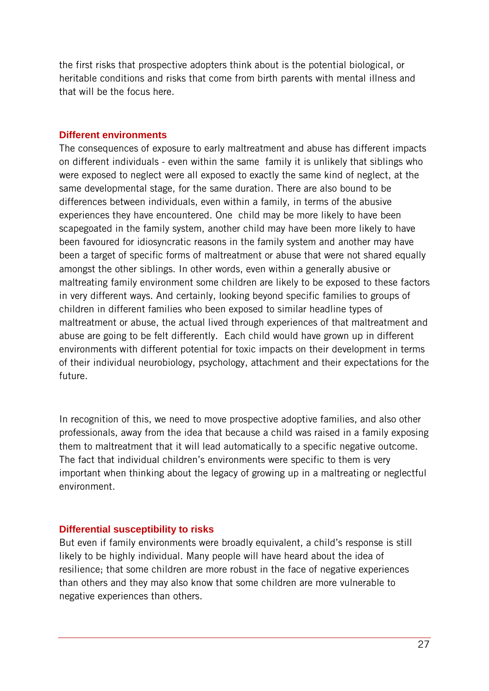the first risks that prospective adopters think about is the potential biological, or heritable conditions and risks that come from birth parents with mental illness and that will be the focus here.

#### <span id="page-26-0"></span>**Different environments**

The consequences of exposure to early maltreatment and abuse has different impacts on different individuals - even within the same family it is unlikely that siblings who were exposed to neglect were all exposed to exactly the same kind of neglect, at the same developmental stage, for the same duration. There are also bound to be differences between individuals, even within a family, in terms of the abusive experiences they have encountered. One child may be more likely to have been scapegoated in the family system, another child may have been more likely to have been favoured for idiosyncratic reasons in the family system and another may have been a target of specific forms of maltreatment or abuse that were not shared equally amongst the other siblings. In other words, even within a generally abusive or maltreating family environment some children are likely to be exposed to these factors in very different ways. And certainly, looking beyond specific families to groups of children in different families who been exposed to similar headline types of maltreatment or abuse, the actual lived through experiences of that maltreatment and abuse are going to be felt differently. Each child would have grown up in different environments with different potential for toxic impacts on their development in terms of their individual neurobiology, psychology, attachment and their expectations for the future.

In recognition of this, we need to move prospective adoptive families, and also other professionals, away from the idea that because a child was raised in a family exposing them to maltreatment that it will lead automatically to a specific negative outcome. The fact that individual children's environments were specific to them is very important when thinking about the legacy of growing up in a maltreating or neglectful environment.

#### <span id="page-26-1"></span>**Differential susceptibility to risks**

But even if family environments were broadly equivalent, a child's response is still likely to be highly individual. Many people will have heard about the idea of resilience; that some children are more robust in the face of negative experiences than others and they may also know that some children are more vulnerable to negative experiences than others.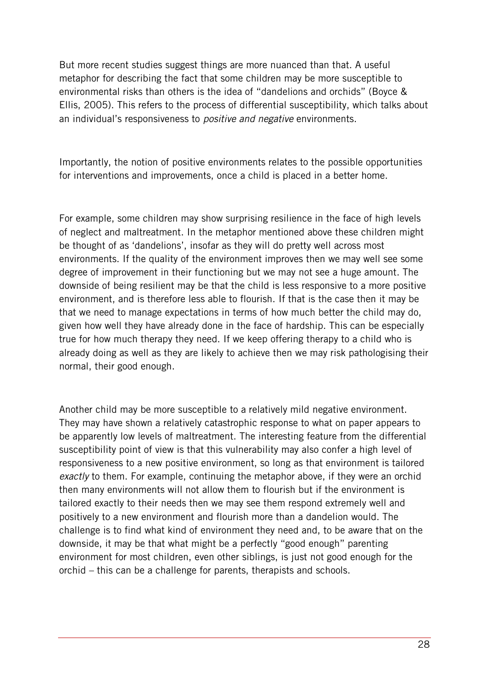But more recent studies suggest things are more nuanced than that. A useful metaphor for describing the fact that some children may be more susceptible to environmental risks than others is the idea of "dandelions and orchids" (Boyce & Ellis, 2005). This refers to the process of differential susceptibility, which talks about an individual's responsiveness to *positive and negative* environments.

Importantly, the notion of positive environments relates to the possible opportunities for interventions and improvements, once a child is placed in a better home.

For example, some children may show surprising resilience in the face of high levels of neglect and maltreatment. In the metaphor mentioned above these children might be thought of as 'dandelions', insofar as they will do pretty well across most environments. If the quality of the environment improves then we may well see some degree of improvement in their functioning but we may not see a huge amount. The downside of being resilient may be that the child is less responsive to a more positive environment, and is therefore less able to flourish. If that is the case then it may be that we need to manage expectations in terms of how much better the child may do, given how well they have already done in the face of hardship. This can be especially true for how much therapy they need. If we keep offering therapy to a child who is already doing as well as they are likely to achieve then we may risk pathologising their normal, their good enough.

Another child may be more susceptible to a relatively mild negative environment. They may have shown a relatively catastrophic response to what on paper appears to be apparently low levels of maltreatment. The interesting feature from the differential susceptibility point of view is that this vulnerability may also confer a high level of responsiveness to a new positive environment, so long as that environment is tailored *exactly* to them. For example, continuing the metaphor above, if they were an orchid then many environments will not allow them to flourish but if the environment is tailored exactly to their needs then we may see them respond extremely well and positively to a new environment and flourish more than a dandelion would. The challenge is to find what kind of environment they need and, to be aware that on the downside, it may be that what might be a perfectly "good enough" parenting environment for most children, even other siblings, is just not good enough for the orchid – this can be a challenge for parents, therapists and schools.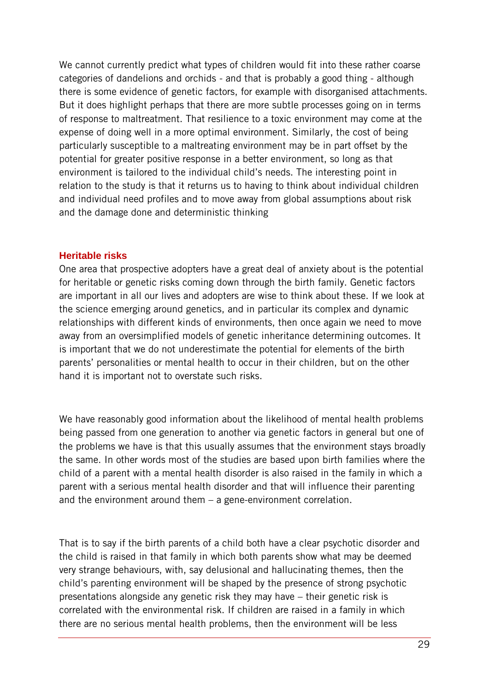We cannot currently predict what types of children would fit into these rather coarse categories of dandelions and orchids - and that is probably a good thing - although there is some evidence of genetic factors, for example with disorganised attachments. But it does highlight perhaps that there are more subtle processes going on in terms of response to maltreatment. That resilience to a toxic environment may come at the expense of doing well in a more optimal environment. Similarly, the cost of being particularly susceptible to a maltreating environment may be in part offset by the potential for greater positive response in a better environment, so long as that environment is tailored to the individual child's needs. The interesting point in relation to the study is that it returns us to having to think about individual children and individual need profiles and to move away from global assumptions about risk and the damage done and deterministic thinking

#### <span id="page-28-0"></span>**Heritable risks**

One area that prospective adopters have a great deal of anxiety about is the potential for heritable or genetic risks coming down through the birth family. Genetic factors are important in all our lives and adopters are wise to think about these. If we look at the science emerging around genetics, and in particular its complex and dynamic relationships with different kinds of environments, then once again we need to move away from an oversimplified models of genetic inheritance determining outcomes. It is important that we do not underestimate the potential for elements of the birth parents' personalities or mental health to occur in their children, but on the other hand it is important not to overstate such risks.

We have reasonably good information about the likelihood of mental health problems being passed from one generation to another via genetic factors in general but one of the problems we have is that this usually assumes that the environment stays broadly the same. In other words most of the studies are based upon birth families where the child of a parent with a mental health disorder is also raised in the family in which a parent with a serious mental health disorder and that will influence their parenting and the environment around them – a gene-environment correlation.

That is to say if the birth parents of a child both have a clear psychotic disorder and the child is raised in that family in which both parents show what may be deemed very strange behaviours, with, say delusional and hallucinating themes, then the child's parenting environment will be shaped by the presence of strong psychotic presentations alongside any genetic risk they may have – their genetic risk is correlated with the environmental risk. If children are raised in a family in which there are no serious mental health problems, then the environment will be less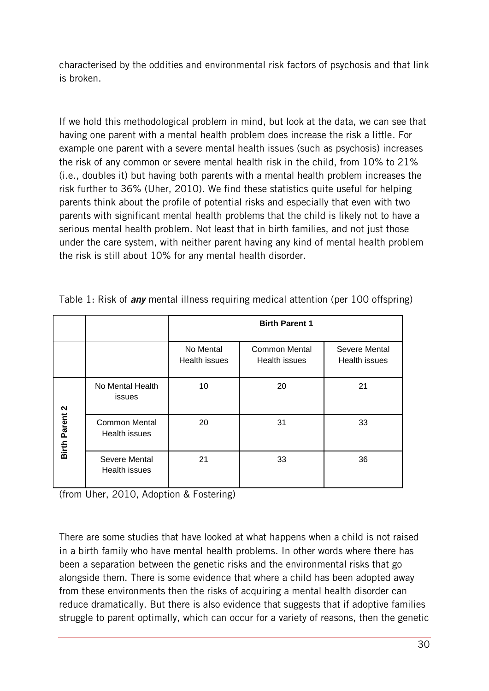characterised by the oddities and environmental risk factors of psychosis and that link is broken.

If we hold this methodological problem in mind, but look at the data, we can see that having one parent with a mental health problem does increase the risk a little. For example one parent with a severe mental health issues (such as psychosis) increases the risk of any common or severe mental health risk in the child, from 10% to 21% (i.e., doubles it) but having both parents with a mental health problem increases the risk further to 36% (Uher, 2010). We find these statistics quite useful for helping parents think about the profile of potential risks and especially that even with two parents with significant mental health problems that the child is likely not to have a serious mental health problem. Not least that in birth families, and not just those under the care system, with neither parent having any kind of mental health problem the risk is still about 10% for any mental health disorder.

|                       |                                       | <b>Birth Parent 1</b>      |                                       |                                       |
|-----------------------|---------------------------------------|----------------------------|---------------------------------------|---------------------------------------|
|                       |                                       | No Mental<br>Health issues | <b>Common Mental</b><br>Health issues | Severe Mental<br><b>Health issues</b> |
|                       | No Mental Health<br>issues            | 10                         | 20                                    | 21                                    |
| <b>Birth Parent 2</b> | <b>Common Mental</b><br>Health issues | 20                         | 31                                    | 33                                    |
|                       | Severe Mental<br>Health issues        | 21                         | 33                                    | 36                                    |

Table 1: Risk of *any* mental illness requiring medical attention (per 100 offspring)

(from Uher, 2010, Adoption & Fostering)

There are some studies that have looked at what happens when a child is not raised in a birth family who have mental health problems. In other words where there has been a separation between the genetic risks and the environmental risks that go alongside them. There is some evidence that where a child has been adopted away from these environments then the risks of acquiring a mental health disorder can reduce dramatically. But there is also evidence that suggests that if adoptive families struggle to parent optimally, which can occur for a variety of reasons, then the genetic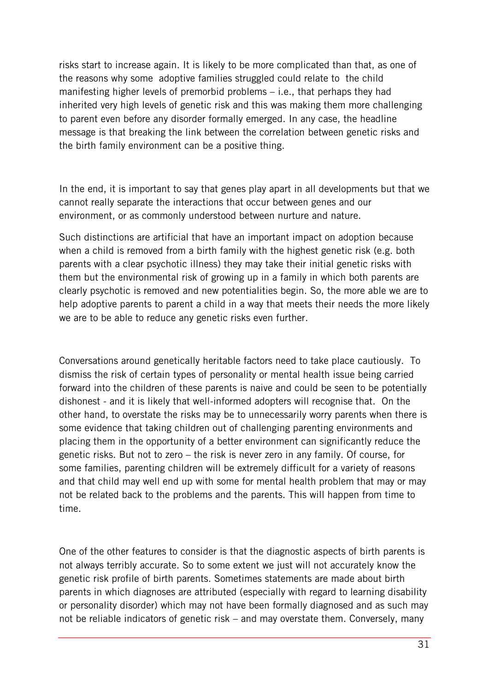risks start to increase again. It is likely to be more complicated than that, as one of the reasons why some adoptive families struggled could relate to the child manifesting higher levels of premorbid problems – i.e., that perhaps they had inherited very high levels of genetic risk and this was making them more challenging to parent even before any disorder formally emerged. In any case, the headline message is that breaking the link between the correlation between genetic risks and the birth family environment can be a positive thing.

In the end, it is important to say that genes play apart in all developments but that we cannot really separate the interactions that occur between genes and our environment, or as commonly understood between nurture and nature.

Such distinctions are artificial that have an important impact on adoption because when a child is removed from a birth family with the highest genetic risk (e.g. both parents with a clear psychotic illness) they may take their initial genetic risks with them but the environmental risk of growing up in a family in which both parents are clearly psychotic is removed and new potentialities begin. So, the more able we are to help adoptive parents to parent a child in a way that meets their needs the more likely we are to be able to reduce any genetic risks even further.

Conversations around genetically heritable factors need to take place cautiously. To dismiss the risk of certain types of personality or mental health issue being carried forward into the children of these parents is naive and could be seen to be potentially dishonest - and it is likely that well-informed adopters will recognise that. On the other hand, to overstate the risks may be to unnecessarily worry parents when there is some evidence that taking children out of challenging parenting environments and placing them in the opportunity of a better environment can significantly reduce the genetic risks. But not to zero – the risk is never zero in any family. Of course, for some families, parenting children will be extremely difficult for a variety of reasons and that child may well end up with some for mental health problem that may or may not be related back to the problems and the parents. This will happen from time to time.

One of the other features to consider is that the diagnostic aspects of birth parents is not always terribly accurate. So to some extent we just will not accurately know the genetic risk profile of birth parents. Sometimes statements are made about birth parents in which diagnoses are attributed (especially with regard to learning disability or personality disorder) which may not have been formally diagnosed and as such may not be reliable indicators of genetic risk – and may overstate them. Conversely, many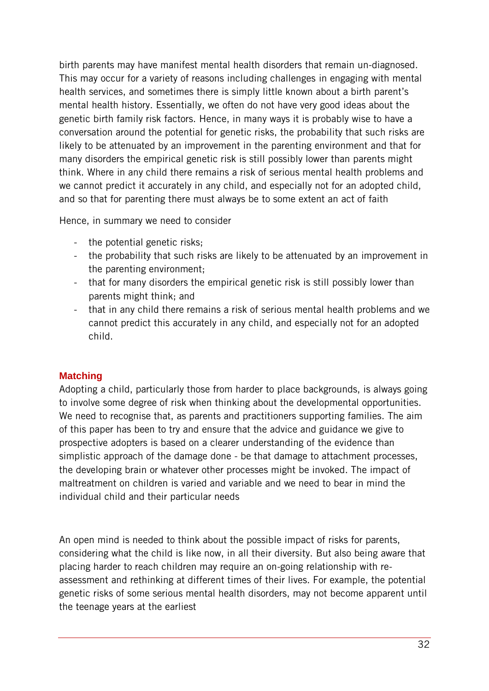birth parents may have manifest mental health disorders that remain un-diagnosed. This may occur for a variety of reasons including challenges in engaging with mental health services, and sometimes there is simply little known about a birth parent's mental health history. Essentially, we often do not have very good ideas about the genetic birth family risk factors. Hence, in many ways it is probably wise to have a conversation around the potential for genetic risks, the probability that such risks are likely to be attenuated by an improvement in the parenting environment and that for many disorders the empirical genetic risk is still possibly lower than parents might think. Where in any child there remains a risk of serious mental health problems and we cannot predict it accurately in any child, and especially not for an adopted child, and so that for parenting there must always be to some extent an act of faith

Hence, in summary we need to consider

- the potential genetic risks;
- the probability that such risks are likely to be attenuated by an improvement in the parenting environment;
- that for many disorders the empirical genetic risk is still possibly lower than parents might think; and
- that in any child there remains a risk of serious mental health problems and we cannot predict this accurately in any child, and especially not for an adopted child.

#### <span id="page-31-0"></span>**Matching**

Adopting a child, particularly those from harder to place backgrounds, is always going to involve some degree of risk when thinking about the developmental opportunities. We need to recognise that, as parents and practitioners supporting families. The aim of this paper has been to try and ensure that the advice and guidance we give to prospective adopters is based on a clearer understanding of the evidence than simplistic approach of the damage done - be that damage to attachment processes, the developing brain or whatever other processes might be invoked. The impact of maltreatment on children is varied and variable and we need to bear in mind the individual child and their particular needs

An open mind is needed to think about the possible impact of risks for parents, considering what the child is like now, in all their diversity. But also being aware that placing harder to reach children may require an on-going relationship with reassessment and rethinking at different times of their lives. For example, the potential genetic risks of some serious mental health disorders, may not become apparent until the teenage years at the earliest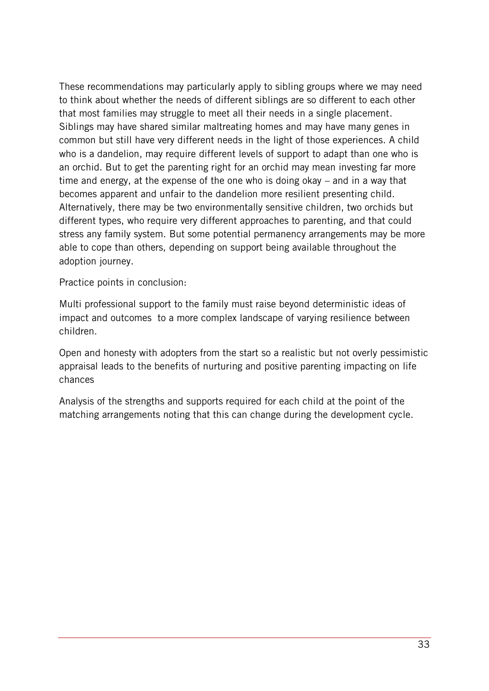These recommendations may particularly apply to sibling groups where we may need to think about whether the needs of different siblings are so different to each other that most families may struggle to meet all their needs in a single placement. Siblings may have shared similar maltreating homes and may have many genes in common but still have very different needs in the light of those experiences. A child who is a dandelion, may require different levels of support to adapt than one who is an orchid. But to get the parenting right for an orchid may mean investing far more time and energy, at the expense of the one who is doing okay – and in a way that becomes apparent and unfair to the dandelion more resilient presenting child. Alternatively, there may be two environmentally sensitive children, two orchids but different types, who require very different approaches to parenting, and that could stress any family system. But some potential permanency arrangements may be more able to cope than others, depending on support being available throughout the adoption journey.

Practice points in conclusion:

Multi professional support to the family must raise beyond deterministic ideas of impact and outcomes to a more complex landscape of varying resilience between children.

Open and honesty with adopters from the start so a realistic but not overly pessimistic appraisal leads to the benefits of nurturing and positive parenting impacting on life chances

Analysis of the strengths and supports required for each child at the point of the matching arrangements noting that this can change during the development cycle.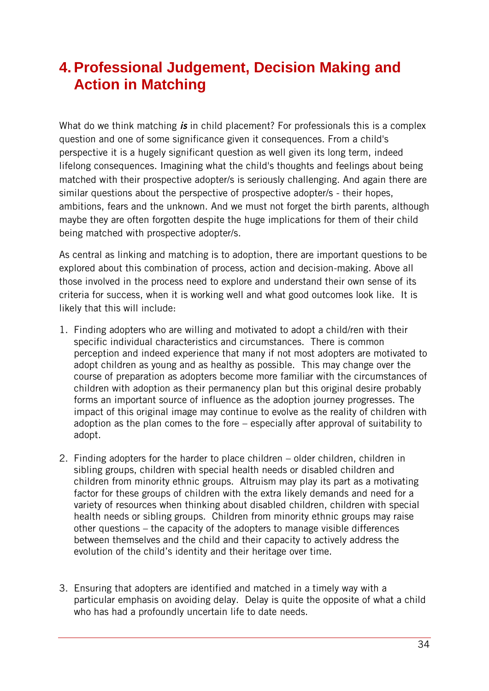## <span id="page-33-0"></span>**4. Professional Judgement, Decision Making and Action in Matching**

What do we think matching *is* in child placement? For professionals this is a complex question and one of some significance given it consequences. From a child's perspective it is a hugely significant question as well given its long term, indeed lifelong consequences. Imagining what the child's thoughts and feelings about being matched with their prospective adopter/s is seriously challenging. And again there are similar questions about the perspective of prospective adopter/s - their hopes, ambitions, fears and the unknown. And we must not forget the birth parents, although maybe they are often forgotten despite the huge implications for them of their child being matched with prospective adopter/s.

As central as linking and matching is to adoption, there are important questions to be explored about this combination of process, action and decision-making. Above all those involved in the process need to explore and understand their own sense of its criteria for success, when it is working well and what good outcomes look like. It is likely that this will include:

- 1. Finding adopters who are willing and motivated to adopt a child/ren with their specific individual characteristics and circumstances. There is common perception and indeed experience that many if not most adopters are motivated to adopt children as young and as healthy as possible. This may change over the course of preparation as adopters become more familiar with the circumstances of children with adoption as their permanency plan but this original desire probably forms an important source of influence as the adoption journey progresses. The impact of this original image may continue to evolve as the reality of children with adoption as the plan comes to the fore – especially after approval of suitability to adopt.
- 2. Finding adopters for the harder to place children older children, children in sibling groups, children with special health needs or disabled children and children from minority ethnic groups. Altruism may play its part as a motivating factor for these groups of children with the extra likely demands and need for a variety of resources when thinking about disabled children, children with special health needs or sibling groups. Children from minority ethnic groups may raise other questions – the capacity of the adopters to manage visible differences between themselves and the child and their capacity to actively address the evolution of the child's identity and their heritage over time.
- 3. Ensuring that adopters are identified and matched in a timely way with a particular emphasis on avoiding delay. Delay is quite the opposite of what a child who has had a profoundly uncertain life to date needs.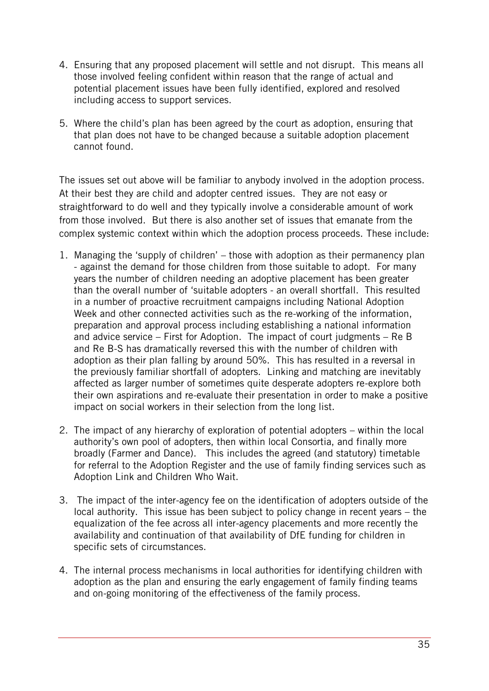- 4. Ensuring that any proposed placement will settle and not disrupt. This means all those involved feeling confident within reason that the range of actual and potential placement issues have been fully identified, explored and resolved including access to support services.
- 5. Where the child's plan has been agreed by the court as adoption, ensuring that that plan does not have to be changed because a suitable adoption placement cannot found.

The issues set out above will be familiar to anybody involved in the adoption process. At their best they are child and adopter centred issues. They are not easy or straightforward to do well and they typically involve a considerable amount of work from those involved. But there is also another set of issues that emanate from the complex systemic context within which the adoption process proceeds. These include:

- 1. Managing the 'supply of children' those with adoption as their permanency plan - against the demand for those children from those suitable to adopt. For many years the number of children needing an adoptive placement has been greater than the overall number of 'suitable adopters - an overall shortfall. This resulted in a number of proactive recruitment campaigns including National Adoption Week and other connected activities such as the re-working of the information, preparation and approval process including establishing a national information and advice service – First for Adoption. The impact of court judgments – Re B and Re B-S has dramatically reversed this with the number of children with adoption as their plan falling by around 50%. This has resulted in a reversal in the previously familiar shortfall of adopters. Linking and matching are inevitably affected as larger number of sometimes quite desperate adopters re-explore both their own aspirations and re-evaluate their presentation in order to make a positive impact on social workers in their selection from the long list.
- 2. The impact of any hierarchy of exploration of potential adopters within the local authority's own pool of adopters, then within local Consortia, and finally more broadly (Farmer and Dance). This includes the agreed (and statutory) timetable for referral to the Adoption Register and the use of family finding services such as Adoption Link and Children Who Wait.
- 3. The impact of the inter-agency fee on the identification of adopters outside of the local authority. This issue has been subject to policy change in recent years – the equalization of the fee across all inter-agency placements and more recently the availability and continuation of that availability of DfE funding for children in specific sets of circumstances.
- 4. The internal process mechanisms in local authorities for identifying children with adoption as the plan and ensuring the early engagement of family finding teams and on-going monitoring of the effectiveness of the family process.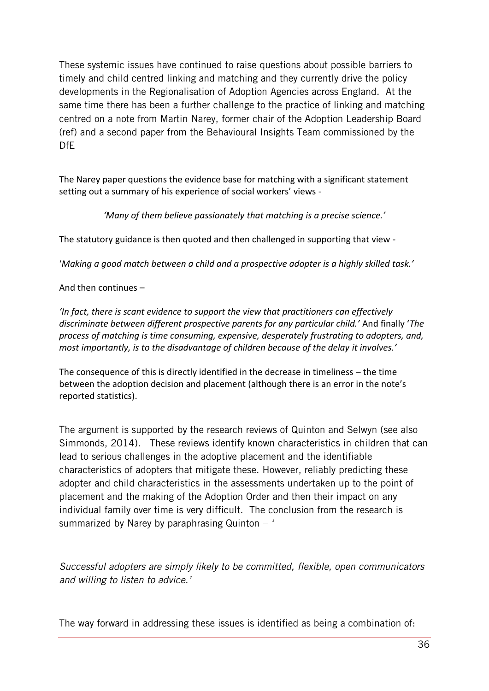These systemic issues have continued to raise questions about possible barriers to timely and child centred linking and matching and they currently drive the policy developments in the Regionalisation of Adoption Agencies across England. At the same time there has been a further challenge to the practice of linking and matching centred on a note from Martin Narey, former chair of the Adoption Leadership Board (ref) and a second paper from the Behavioural Insights Team commissioned by the DfE

The Narey paper questions the evidence base for matching with a significant statement setting out a summary of his experience of social workers' views -

*'Many of them believe passionately that matching is a precise science.'*

The statutory guidance is then quoted and then challenged in supporting that view -

'*Making a good match between a child and a prospective adopter is a highly skilled task.'*

And then continues –

*'In fact, there is scant evidence to support the view that practitioners can effectively discriminate between different prospective parents for any particular child.'* And finally '*The process of matching is time consuming, expensive, desperately frustrating to adopters, and, most importantly, is to the disadvantage of children because of the delay it involves.'* 

The consequence of this is directly identified in the decrease in timeliness – the time between the adoption decision and placement (although there is an error in the note's reported statistics).

The argument is supported by the research reviews of Quinton and Selwyn (see also Simmonds, 2014). These reviews identify known characteristics in children that can lead to serious challenges in the adoptive placement and the identifiable characteristics of adopters that mitigate these. However, reliably predicting these adopter and child characteristics in the assessments undertaken up to the point of placement and the making of the Adoption Order and then their impact on any individual family over time is very difficult. The conclusion from the research is summarized by Narey by paraphrasing Quinton – *'*

*Successful adopters are simply likely to be committed, flexible, open communicators and willing to listen to advice.'*

The way forward in addressing these issues is identified as being a combination of: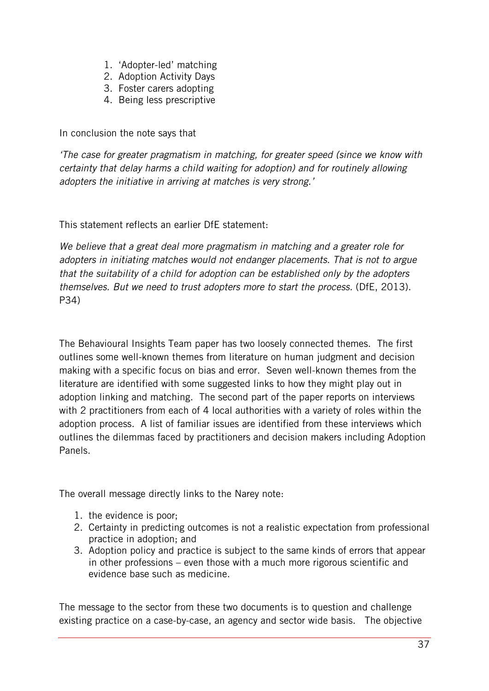- 1. 'Adopter-led' matching
- 2. Adoption Activity Days
- 3. Foster carers adopting
- 4. Being less prescriptive

In conclusion the note says that

*'The case for greater pragmatism in matching, for greater speed (since we know with certainty that delay harms a child waiting for adoption) and for routinely allowing adopters the initiative in arriving at matches is very strong.'*

This statement reflects an earlier DfE statement:

*We believe that a great deal more pragmatism in matching and a greater role for adopters in initiating matches would not endanger placements. That is not to argue that the suitability of a child for adoption can be established only by the adopters themselves. But we need to trust adopters more to start the process.* (DfE, 2013). P34)

The Behavioural Insights Team paper has two loosely connected themes. The first outlines some well-known themes from literature on human judgment and decision making with a specific focus on bias and error. Seven well-known themes from the literature are identified with some suggested links to how they might play out in adoption linking and matching. The second part of the paper reports on interviews with 2 practitioners from each of 4 local authorities with a variety of roles within the adoption process. A list of familiar issues are identified from these interviews which outlines the dilemmas faced by practitioners and decision makers including Adoption Panels.

The overall message directly links to the Narey note:

- 1. the evidence is poor;
- 2. Certainty in predicting outcomes is not a realistic expectation from professional practice in adoption; and
- 3. Adoption policy and practice is subject to the same kinds of errors that appear in other professions – even those with a much more rigorous scientific and evidence base such as medicine.

The message to the sector from these two documents is to question and challenge existing practice on a case-by-case, an agency and sector wide basis. The objective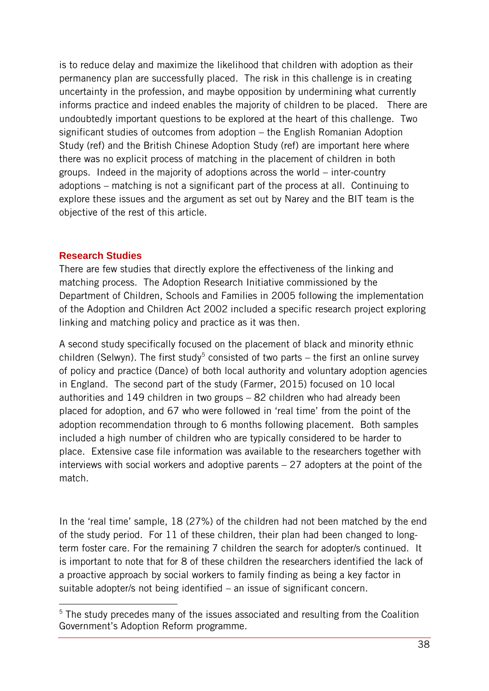is to reduce delay and maximize the likelihood that children with adoption as their permanency plan are successfully placed. The risk in this challenge is in creating uncertainty in the profession, and maybe opposition by undermining what currently informs practice and indeed enables the majority of children to be placed. There are undoubtedly important questions to be explored at the heart of this challenge. Two significant studies of outcomes from adoption – the English Romanian Adoption Study (ref) and the British Chinese Adoption Study (ref) are important here where there was no explicit process of matching in the placement of children in both groups. Indeed in the majority of adoptions across the world – inter-country adoptions – matching is not a significant part of the process at all. Continuing to explore these issues and the argument as set out by Narey and the BIT team is the objective of the rest of this article.

#### <span id="page-37-0"></span>**Research Studies**

 $\overline{a}$ 

There are few studies that directly explore the effectiveness of the linking and matching process. The Adoption Research Initiative commissioned by the Department of Children, Schools and Families in 2005 following the implementation of the Adoption and Children Act 2002 included a specific research project exploring linking and matching policy and practice as it was then.

A second study specifically focused on the placement of black and minority ethnic children (Selwyn). The first study<sup>5</sup> consisted of two parts  $-$  the first an online survey of policy and practice (Dance) of both local authority and voluntary adoption agencies in England. The second part of the study (Farmer, 2015) focused on 10 local authorities and 149 children in two groups – 82 children who had already been placed for adoption, and 67 who were followed in 'real time' from the point of the adoption recommendation through to 6 months following placement. Both samples included a high number of children who are typically considered to be harder to place. Extensive case file information was available to the researchers together with interviews with social workers and adoptive parents – 27 adopters at the point of the match.

In the 'real time' sample, 18 (27%) of the children had not been matched by the end of the study period. For 11 of these children, their plan had been changed to longterm foster care. For the remaining 7 children the search for adopter/s continued. It is important to note that for 8 of these children the researchers identified the lack of a proactive approach by social workers to family finding as being a key factor in suitable adopter/s not being identified – an issue of significant concern.

<sup>&</sup>lt;sup>5</sup> The study precedes many of the issues associated and resulting from the Coalition Government's Adoption Reform programme.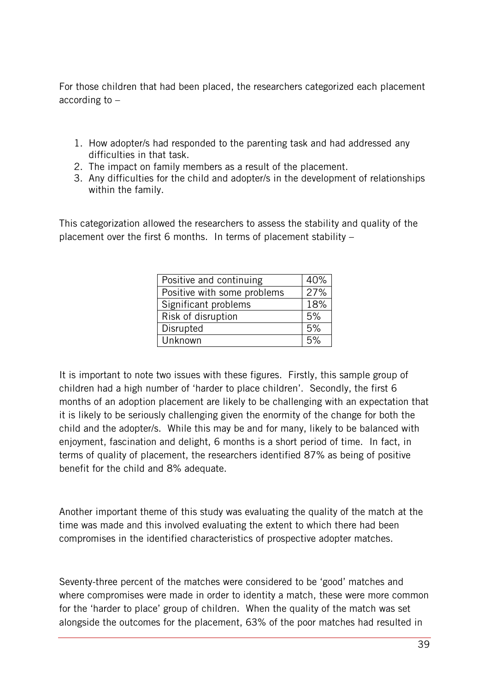For those children that had been placed, the researchers categorized each placement according to –

- 1. How adopter/s had responded to the parenting task and had addressed any difficulties in that task.
- 2. The impact on family members as a result of the placement.
- 3. Any difficulties for the child and adopter/s in the development of relationships within the family.

This categorization allowed the researchers to assess the stability and quality of the placement over the first 6 months. In terms of placement stability –

| Positive and continuing     | 40% |
|-----------------------------|-----|
| Positive with some problems | 27% |
| Significant problems        | 18% |
| Risk of disruption          | 5%  |
| Disrupted                   | 5%  |
| Unknown                     | 5%  |

It is important to note two issues with these figures. Firstly, this sample group of children had a high number of 'harder to place children'. Secondly, the first 6 months of an adoption placement are likely to be challenging with an expectation that it is likely to be seriously challenging given the enormity of the change for both the child and the adopter/s. While this may be and for many, likely to be balanced with enjoyment, fascination and delight, 6 months is a short period of time. In fact, in terms of quality of placement, the researchers identified 87% as being of positive benefit for the child and 8% adequate.

Another important theme of this study was evaluating the quality of the match at the time was made and this involved evaluating the extent to which there had been compromises in the identified characteristics of prospective adopter matches.

Seventy-three percent of the matches were considered to be 'good' matches and where compromises were made in order to identity a match, these were more common for the 'harder to place' group of children. When the quality of the match was set alongside the outcomes for the placement, 63% of the poor matches had resulted in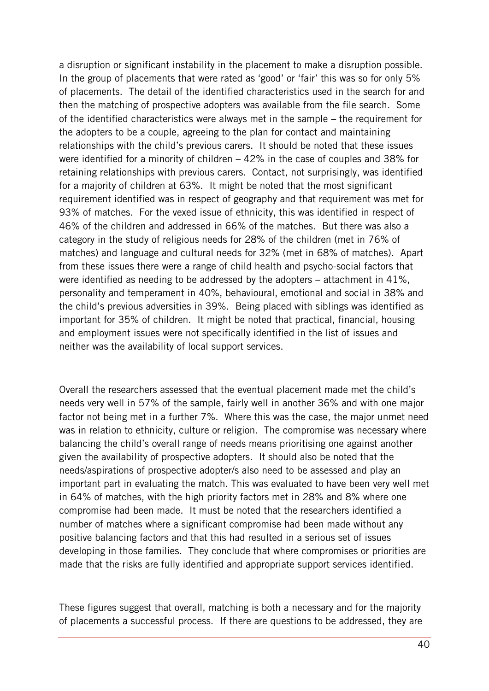a disruption or significant instability in the placement to make a disruption possible. In the group of placements that were rated as 'good' or 'fair' this was so for only 5% of placements. The detail of the identified characteristics used in the search for and then the matching of prospective adopters was available from the file search. Some of the identified characteristics were always met in the sample – the requirement for the adopters to be a couple, agreeing to the plan for contact and maintaining relationships with the child's previous carers. It should be noted that these issues were identified for a minority of children – 42% in the case of couples and 38% for retaining relationships with previous carers. Contact, not surprisingly, was identified for a majority of children at 63%. It might be noted that the most significant requirement identified was in respect of geography and that requirement was met for 93% of matches. For the vexed issue of ethnicity, this was identified in respect of 46% of the children and addressed in 66% of the matches. But there was also a category in the study of religious needs for 28% of the children (met in 76% of matches) and language and cultural needs for 32% (met in 68% of matches). Apart from these issues there were a range of child health and psycho-social factors that were identified as needing to be addressed by the adopters – attachment in 41%, personality and temperament in 40%, behavioural, emotional and social in 38% and the child's previous adversities in 39%. Being placed with siblings was identified as important for 35% of children. It might be noted that practical, financial, housing and employment issues were not specifically identified in the list of issues and neither was the availability of local support services.

Overall the researchers assessed that the eventual placement made met the child's needs very well in 57% of the sample, fairly well in another 36% and with one major factor not being met in a further 7%. Where this was the case, the major unmet need was in relation to ethnicity, culture or religion. The compromise was necessary where balancing the child's overall range of needs means prioritising one against another given the availability of prospective adopters. It should also be noted that the needs/aspirations of prospective adopter/s also need to be assessed and play an important part in evaluating the match. This was evaluated to have been very well met in 64% of matches, with the high priority factors met in 28% and 8% where one compromise had been made. It must be noted that the researchers identified a number of matches where a significant compromise had been made without any positive balancing factors and that this had resulted in a serious set of issues developing in those families. They conclude that where compromises or priorities are made that the risks are fully identified and appropriate support services identified.

These figures suggest that overall, matching is both a necessary and for the majority of placements a successful process. If there are questions to be addressed, they are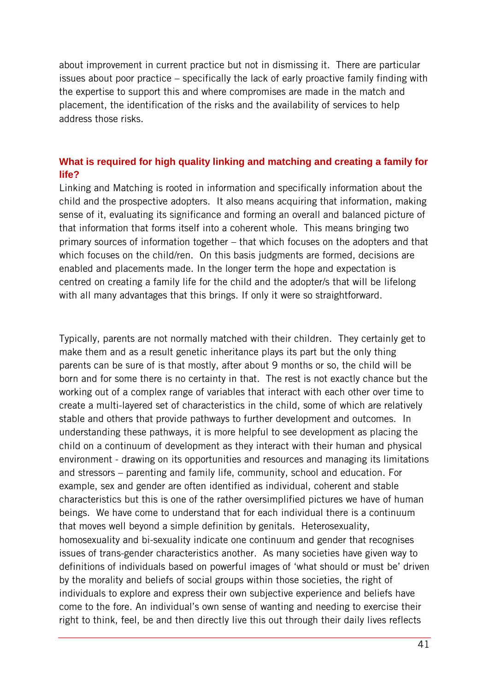about improvement in current practice but not in dismissing it. There are particular issues about poor practice – specifically the lack of early proactive family finding with the expertise to support this and where compromises are made in the match and placement, the identification of the risks and the availability of services to help address those risks.

#### <span id="page-40-0"></span>**What is required for high quality linking and matching and creating a family for life?**

Linking and Matching is rooted in information and specifically information about the child and the prospective adopters. It also means acquiring that information, making sense of it, evaluating its significance and forming an overall and balanced picture of that information that forms itself into a coherent whole. This means bringing two primary sources of information together – that which focuses on the adopters and that which focuses on the child/ren. On this basis judgments are formed, decisions are enabled and placements made. In the longer term the hope and expectation is centred on creating a family life for the child and the adopter/s that will be lifelong with all many advantages that this brings. If only it were so straightforward.

Typically, parents are not normally matched with their children. They certainly get to make them and as a result genetic inheritance plays its part but the only thing parents can be sure of is that mostly, after about 9 months or so, the child will be born and for some there is no certainty in that. The rest is not exactly chance but the working out of a complex range of variables that interact with each other over time to create a multi-layered set of characteristics in the child, some of which are relatively stable and others that provide pathways to further development and outcomes. In understanding these pathways, it is more helpful to see development as placing the child on a continuum of development as they interact with their human and physical environment - drawing on its opportunities and resources and managing its limitations and stressors – parenting and family life, community, school and education. For example, sex and gender are often identified as individual, coherent and stable characteristics but this is one of the rather oversimplified pictures we have of human beings. We have come to understand that for each individual there is a continuum that moves well beyond a simple definition by genitals. Heterosexuality, homosexuality and bi-sexuality indicate one continuum and gender that recognises issues of trans-gender characteristics another. As many societies have given way to definitions of individuals based on powerful images of 'what should or must be' driven by the morality and beliefs of social groups within those societies, the right of individuals to explore and express their own subjective experience and beliefs have come to the fore. An individual's own sense of wanting and needing to exercise their right to think, feel, be and then directly live this out through their daily lives reflects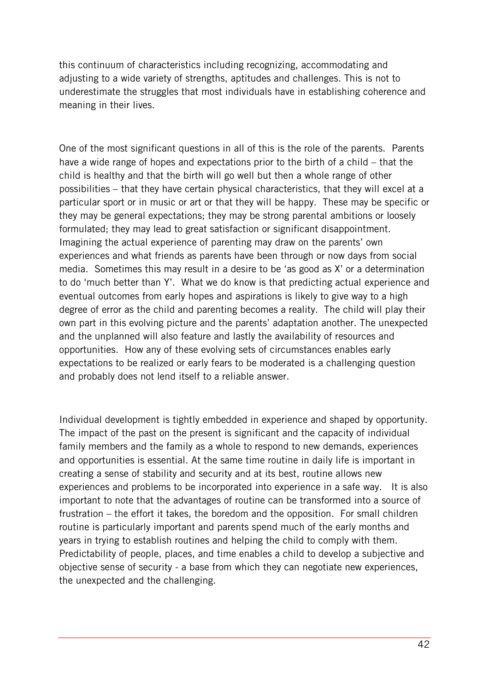this continuum of characteristics including recognizing, accommodating and adjusting to a wide variety of strengths, aptitudes and challenges. This is not to underestimate the struggles that most individuals have in establishing coherence and meaning in their lives.

One of the most significant questions in all of this is the role of the parents. Parents have a wide range of hopes and expectations prior to the birth of a child – that the child is healthy and that the birth will go well but then a whole range of other possibilities – that they have certain physical characteristics, that they will excel at a particular sport or in music or art or that they will be happy. These may be specific or they may be general expectations; they may be strong parental ambitions or loosely formulated; they may lead to great satisfaction or significant disappointment. Imagining the actual experience of parenting may draw on the parents' own experiences and what friends as parents have been through or now days from social media. Sometimes this may result in a desire to be 'as good as X' or a determination to do 'much better than Y'. What we do know is that predicting actual experience and eventual outcomes from early hopes and aspirations is likely to give way to a high degree of error as the child and parenting becomes a reality. The child will play their own part in this evolving picture and the parents' adaptation another. The unexpected and the unplanned will also feature and lastly the availability of resources and opportunities. How any of these evolving sets of circumstances enables early expectations to be realized or early fears to be moderated is a challenging question and probably does not lend itself to a reliable answer.

Individual development is tightly embedded in experience and shaped by opportunity. The impact of the past on the present is significant and the capacity of individual family members and the family as a whole to respond to new demands, experiences and opportunities is essential. At the same time routine in daily life is important in creating a sense of stability and security and at its best, routine allows new experiences and problems to be incorporated into experience in a safe way. It is also important to note that the advantages of routine can be transformed into a source of frustration – the effort it takes, the boredom and the opposition. For small children routine is particularly important and parents spend much of the early months and years in trying to establish routines and helping the child to comply with them. Predictability of people, places, and time enables a child to develop a subjective and objective sense of security - a base from which they can negotiate new experiences, the unexpected and the challenging.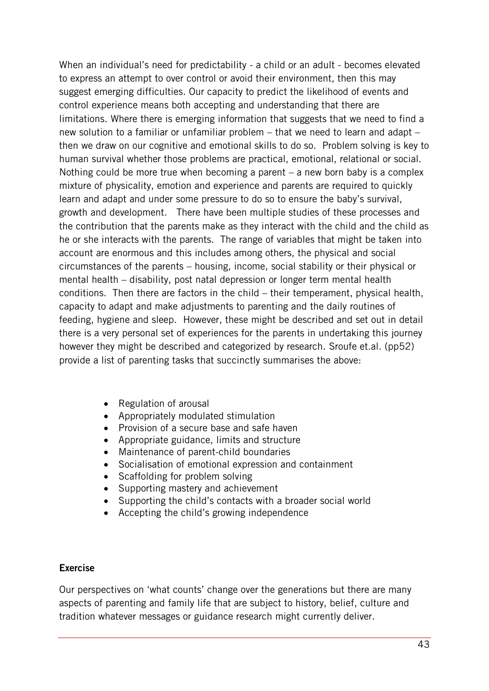When an individual's need for predictability - a child or an adult - becomes elevated to express an attempt to over control or avoid their environment, then this may suggest emerging difficulties. Our capacity to predict the likelihood of events and control experience means both accepting and understanding that there are limitations. Where there is emerging information that suggests that we need to find a new solution to a familiar or unfamiliar problem – that we need to learn and adapt – then we draw on our cognitive and emotional skills to do so. Problem solving is key to human survival whether those problems are practical, emotional, relational or social. Nothing could be more true when becoming a parent – a new born baby is a complex mixture of physicality, emotion and experience and parents are required to quickly learn and adapt and under some pressure to do so to ensure the baby's survival, growth and development. There have been multiple studies of these processes and the contribution that the parents make as they interact with the child and the child as he or she interacts with the parents. The range of variables that might be taken into account are enormous and this includes among others, the physical and social circumstances of the parents – housing, income, social stability or their physical or mental health – disability, post natal depression or longer term mental health conditions. Then there are factors in the child – their temperament, physical health, capacity to adapt and make adjustments to parenting and the daily routines of feeding, hygiene and sleep. However, these might be described and set out in detail there is a very personal set of experiences for the parents in undertaking this journey however they might be described and categorized by research. Sroufe et.al. (pp52) provide a list of parenting tasks that succinctly summarises the above:

- Regulation of arousal
- Appropriately modulated stimulation
- Provision of a secure base and safe haven
- Appropriate guidance, limits and structure
- Maintenance of parent-child boundaries
- Socialisation of emotional expression and containment
- Scaffolding for problem solving
- Supporting mastery and achievement
- Supporting the child's contacts with a broader social world
- Accepting the child's growing independence

#### **Exercise**

Our perspectives on 'what counts' change over the generations but there are many aspects of parenting and family life that are subject to history, belief, culture and tradition whatever messages or guidance research might currently deliver.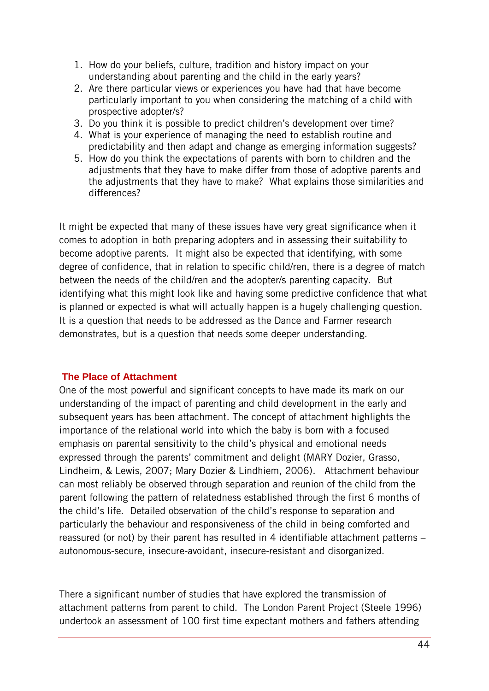- 1. How do your beliefs, culture, tradition and history impact on your understanding about parenting and the child in the early years?
- 2. Are there particular views or experiences you have had that have become particularly important to you when considering the matching of a child with prospective adopter/s?
- 3. Do you think it is possible to predict children's development over time?
- 4. What is your experience of managing the need to establish routine and predictability and then adapt and change as emerging information suggests?
- 5. How do you think the expectations of parents with born to children and the adjustments that they have to make differ from those of adoptive parents and the adjustments that they have to make? What explains those similarities and differences?

It might be expected that many of these issues have very great significance when it comes to adoption in both preparing adopters and in assessing their suitability to become adoptive parents. It might also be expected that identifying, with some degree of confidence, that in relation to specific child/ren, there is a degree of match between the needs of the child/ren and the adopter/s parenting capacity. But identifying what this might look like and having some predictive confidence that what is planned or expected is what will actually happen is a hugely challenging question. It is a question that needs to be addressed as the Dance and Farmer research demonstrates, but is a question that needs some deeper understanding.

#### <span id="page-43-0"></span>**The Place of Attachment**

One of the most powerful and significant concepts to have made its mark on our understanding of the impact of parenting and child development in the early and subsequent years has been attachment. The concept of attachment highlights the importance of the relational world into which the baby is born with a focused emphasis on parental sensitivity to the child's physical and emotional needs expressed through the parents' commitment and delight (MARY Dozier, Grasso, Lindheim, & Lewis, 2007; Mary Dozier & Lindhiem, 2006). Attachment behaviour can most reliably be observed through separation and reunion of the child from the parent following the pattern of relatedness established through the first 6 months of the child's life. Detailed observation of the child's response to separation and particularly the behaviour and responsiveness of the child in being comforted and reassured (or not) by their parent has resulted in 4 identifiable attachment patterns – autonomous-secure, insecure-avoidant, insecure-resistant and disorganized.

There a significant number of studies that have explored the transmission of attachment patterns from parent to child. The London Parent Project (Steele 1996) undertook an assessment of 100 first time expectant mothers and fathers attending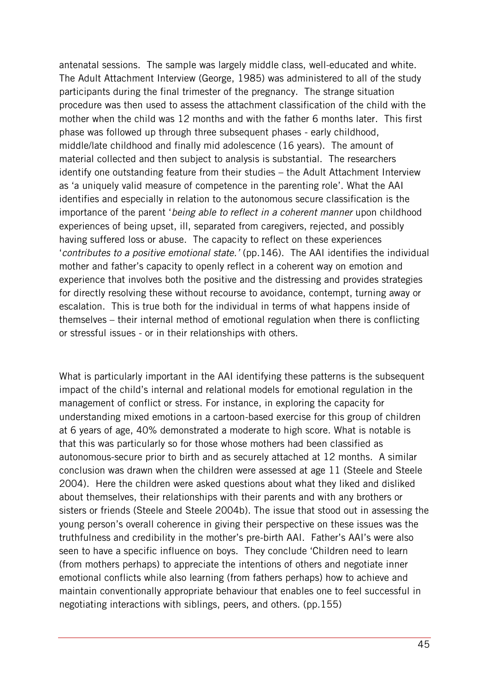antenatal sessions. The sample was largely middle class, well-educated and white. The Adult Attachment Interview (George, 1985) was administered to all of the study participants during the final trimester of the pregnancy. The strange situation procedure was then used to assess the attachment classification of the child with the mother when the child was 12 months and with the father 6 months later. This first phase was followed up through three subsequent phases - early childhood, middle/late childhood and finally mid adolescence (16 years). The amount of material collected and then subject to analysis is substantial. The researchers identify one outstanding feature from their studies – the Adult Attachment Interview as 'a uniquely valid measure of competence in the parenting role'. What the AAI identifies and especially in relation to the autonomous secure classification is the importance of the parent '*being able to reflect in a coherent manner* upon childhood experiences of being upset, ill, separated from caregivers, rejected, and possibly having suffered loss or abuse. The capacity to reflect on these experiences '*contributes to a positive emotional state.'* (pp.146). The AAI identifies the individual mother and father's capacity to openly reflect in a coherent way on emotion and experience that involves both the positive and the distressing and provides strategies for directly resolving these without recourse to avoidance, contempt, turning away or escalation. This is true both for the individual in terms of what happens inside of themselves – their internal method of emotional regulation when there is conflicting or stressful issues - or in their relationships with others.

What is particularly important in the AAI identifying these patterns is the subsequent impact of the child's internal and relational models for emotional regulation in the management of conflict or stress. For instance, in exploring the capacity for understanding mixed emotions in a cartoon-based exercise for this group of children at 6 years of age, 40% demonstrated a moderate to high score. What is notable is that this was particularly so for those whose mothers had been classified as autonomous-secure prior to birth and as securely attached at 12 months. A similar conclusion was drawn when the children were assessed at age 11 (Steele and Steele 2004). Here the children were asked questions about what they liked and disliked about themselves, their relationships with their parents and with any brothers or sisters or friends (Steele and Steele 2004b). The issue that stood out in assessing the young person's overall coherence in giving their perspective on these issues was the truthfulness and credibility in the mother's pre-birth AAI. Father's AAI's were also seen to have a specific influence on boys. They conclude 'Children need to learn (from mothers perhaps) to appreciate the intentions of others and negotiate inner emotional conflicts while also learning (from fathers perhaps) how to achieve and maintain conventionally appropriate behaviour that enables one to feel successful in negotiating interactions with siblings, peers, and others. (pp.155)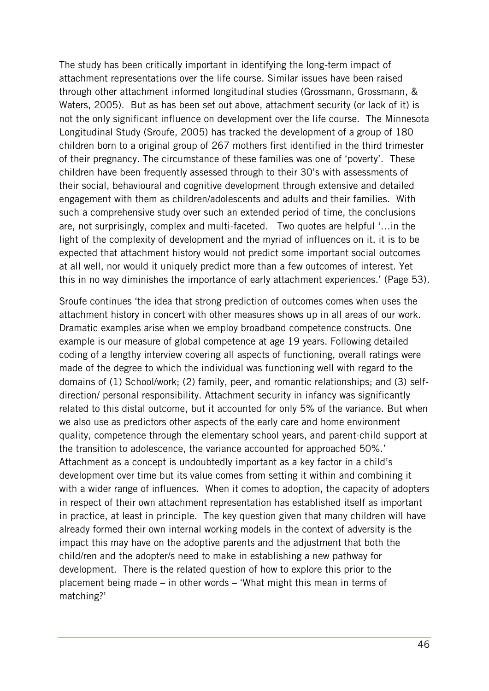The study has been critically important in identifying the long-term impact of attachment representations over the life course. Similar issues have been raised through other attachment informed longitudinal studies (Grossmann, Grossmann, & Waters, 2005). But as has been set out above, attachment security (or lack of it) is not the only significant influence on development over the life course. The Minnesota Longitudinal Study (Sroufe, 2005) has tracked the development of a group of 180 children born to a original group of 267 mothers first identified in the third trimester of their pregnancy. The circumstance of these families was one of 'poverty'. These children have been frequently assessed through to their 30's with assessments of their social, behavioural and cognitive development through extensive and detailed engagement with them as children/adolescents and adults and their families. With such a comprehensive study over such an extended period of time, the conclusions are, not surprisingly, complex and multi-faceted. Two quotes are helpful '…in the light of the complexity of development and the myriad of influences on it, it is to be expected that attachment history would not predict some important social outcomes at all well, nor would it uniquely predict more than a few outcomes of interest. Yet this in no way diminishes the importance of early attachment experiences.' (Page 53).

Sroufe continues 'the idea that strong prediction of outcomes comes when uses the attachment history in concert with other measures shows up in all areas of our work. Dramatic examples arise when we employ broadband competence constructs. One example is our measure of global competence at age 19 years. Following detailed coding of a lengthy interview covering all aspects of functioning, overall ratings were made of the degree to which the individual was functioning well with regard to the domains of (1) School/work; (2) family, peer, and romantic relationships; and (3) selfdirection/ personal responsibility. Attachment security in infancy was significantly related to this distal outcome, but it accounted for only 5% of the variance. But when we also use as predictors other aspects of the early care and home environment quality, competence through the elementary school years, and parent-child support at the transition to adolescence, the variance accounted for approached 50%.' Attachment as a concept is undoubtedly important as a key factor in a child's development over time but its value comes from setting it within and combining it with a wider range of influences. When it comes to adoption, the capacity of adopters in respect of their own attachment representation has established itself as important in practice, at least in principle. The key question given that many children will have already formed their own internal working models in the context of adversity is the impact this may have on the adoptive parents and the adjustment that both the child/ren and the adopter/s need to make in establishing a new pathway for development. There is the related question of how to explore this prior to the placement being made – in other words – 'What might this mean in terms of matching?'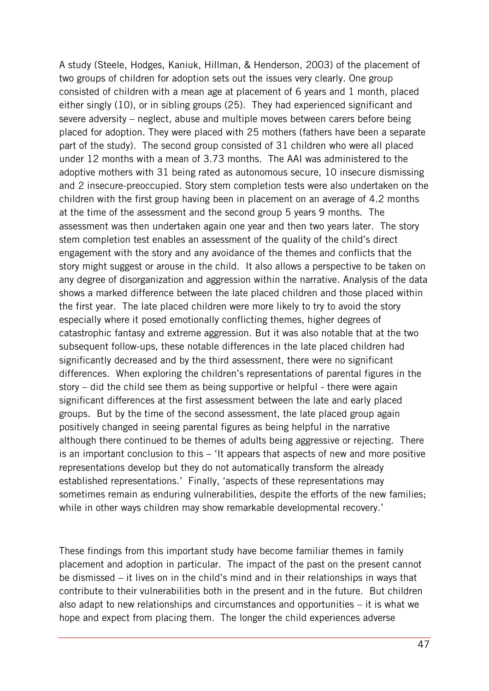A study (Steele, Hodges, Kaniuk, Hillman, & Henderson, 2003) of the placement of two groups of children for adoption sets out the issues very clearly. One group consisted of children with a mean age at placement of 6 years and 1 month, placed either singly (10), or in sibling groups (25). They had experienced significant and severe adversity – neglect, abuse and multiple moves between carers before being placed for adoption. They were placed with 25 mothers (fathers have been a separate part of the study). The second group consisted of 31 children who were all placed under 12 months with a mean of 3.73 months. The AAI was administered to the adoptive mothers with 31 being rated as autonomous secure, 10 insecure dismissing and 2 insecure-preoccupied. Story stem completion tests were also undertaken on the children with the first group having been in placement on an average of 4.2 months at the time of the assessment and the second group 5 years 9 months. The assessment was then undertaken again one year and then two years later. The story stem completion test enables an assessment of the quality of the child's direct engagement with the story and any avoidance of the themes and conflicts that the story might suggest or arouse in the child. It also allows a perspective to be taken on any degree of disorganization and aggression within the narrative. Analysis of the data shows a marked difference between the late placed children and those placed within the first year. The late placed children were more likely to try to avoid the story especially where it posed emotionally conflicting themes, higher degrees of catastrophic fantasy and extreme aggression. But it was also notable that at the two subsequent follow-ups, these notable differences in the late placed children had significantly decreased and by the third assessment, there were no significant differences. When exploring the children's representations of parental figures in the story – did the child see them as being supportive or helpful - there were again significant differences at the first assessment between the late and early placed groups. But by the time of the second assessment, the late placed group again positively changed in seeing parental figures as being helpful in the narrative although there continued to be themes of adults being aggressive or rejecting. There is an important conclusion to this – 'It appears that aspects of new and more positive representations develop but they do not automatically transform the already established representations.' Finally, 'aspects of these representations may sometimes remain as enduring vulnerabilities, despite the efforts of the new families; while in other ways children may show remarkable developmental recovery.'

These findings from this important study have become familiar themes in family placement and adoption in particular. The impact of the past on the present cannot be dismissed – it lives on in the child's mind and in their relationships in ways that contribute to their vulnerabilities both in the present and in the future. But children also adapt to new relationships and circumstances and opportunities – it is what we hope and expect from placing them. The longer the child experiences adverse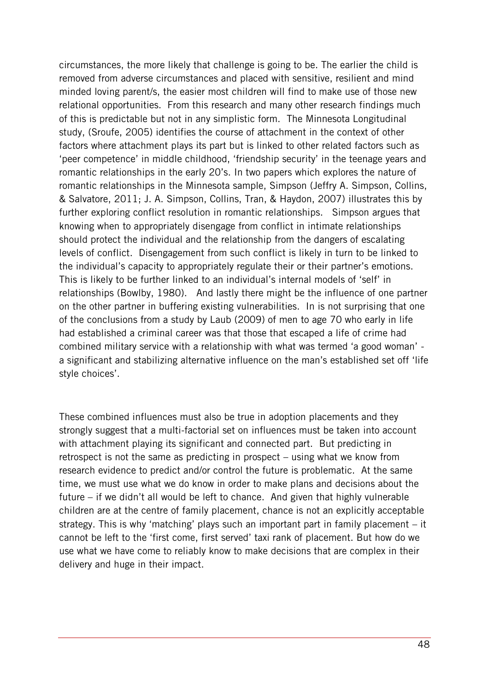circumstances, the more likely that challenge is going to be. The earlier the child is removed from adverse circumstances and placed with sensitive, resilient and mind minded loving parent/s, the easier most children will find to make use of those new relational opportunities. From this research and many other research findings much of this is predictable but not in any simplistic form. The Minnesota Longitudinal study, (Sroufe, 2005) identifies the course of attachment in the context of other factors where attachment plays its part but is linked to other related factors such as 'peer competence' in middle childhood, 'friendship security' in the teenage years and romantic relationships in the early 20's. In two papers which explores the nature of romantic relationships in the Minnesota sample, Simpson (Jeffry A. Simpson, Collins, & Salvatore, 2011; J. A. Simpson, Collins, Tran, & Haydon, 2007) illustrates this by further exploring conflict resolution in romantic relationships. Simpson argues that knowing when to appropriately disengage from conflict in intimate relationships should protect the individual and the relationship from the dangers of escalating levels of conflict. Disengagement from such conflict is likely in turn to be linked to the individual's capacity to appropriately regulate their or their partner's emotions. This is likely to be further linked to an individual's internal models of 'self' in relationships (Bowlby, 1980). And lastly there might be the influence of one partner on the other partner in buffering existing vulnerabilities. In is not surprising that one of the conclusions from a study by Laub (2009) of men to age 70 who early in life had established a criminal career was that those that escaped a life of crime had combined military service with a relationship with what was termed 'a good woman' a significant and stabilizing alternative influence on the man's established set off 'life style choices'.

These combined influences must also be true in adoption placements and they strongly suggest that a multi-factorial set on influences must be taken into account with attachment playing its significant and connected part. But predicting in retrospect is not the same as predicting in prospect – using what we know from research evidence to predict and/or control the future is problematic. At the same time, we must use what we do know in order to make plans and decisions about the future – if we didn't all would be left to chance. And given that highly vulnerable children are at the centre of family placement, chance is not an explicitly acceptable strategy. This is why 'matching' plays such an important part in family placement – it cannot be left to the 'first come, first served' taxi rank of placement. But how do we use what we have come to reliably know to make decisions that are complex in their delivery and huge in their impact.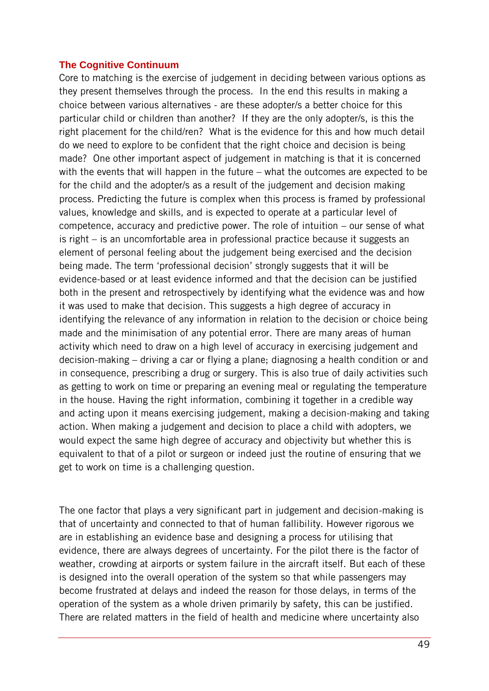#### <span id="page-48-0"></span>**The Cognitive Continuum**

Core to matching is the exercise of judgement in deciding between various options as they present themselves through the process. In the end this results in making a choice between various alternatives - are these adopter/s a better choice for this particular child or children than another? If they are the only adopter/s, is this the right placement for the child/ren? What is the evidence for this and how much detail do we need to explore to be confident that the right choice and decision is being made? One other important aspect of judgement in matching is that it is concerned with the events that will happen in the future – what the outcomes are expected to be for the child and the adopter/s as a result of the judgement and decision making process. Predicting the future is complex when this process is framed by professional values, knowledge and skills, and is expected to operate at a particular level of competence, accuracy and predictive power. The role of intuition – our sense of what is right – is an uncomfortable area in professional practice because it suggests an element of personal feeling about the judgement being exercised and the decision being made. The term 'professional decision' strongly suggests that it will be evidence-based or at least evidence informed and that the decision can be justified both in the present and retrospectively by identifying what the evidence was and how it was used to make that decision. This suggests a high degree of accuracy in identifying the relevance of any information in relation to the decision or choice being made and the minimisation of any potential error. There are many areas of human activity which need to draw on a high level of accuracy in exercising judgement and decision-making – driving a car or flying a plane; diagnosing a health condition or and in consequence, prescribing a drug or surgery. This is also true of daily activities such as getting to work on time or preparing an evening meal or regulating the temperature in the house. Having the right information, combining it together in a credible way and acting upon it means exercising judgement, making a decision-making and taking action. When making a judgement and decision to place a child with adopters, we would expect the same high degree of accuracy and objectivity but whether this is equivalent to that of a pilot or surgeon or indeed just the routine of ensuring that we get to work on time is a challenging question.

The one factor that plays a very significant part in judgement and decision-making is that of uncertainty and connected to that of human fallibility. However rigorous we are in establishing an evidence base and designing a process for utilising that evidence, there are always degrees of uncertainty. For the pilot there is the factor of weather, crowding at airports or system failure in the aircraft itself. But each of these is designed into the overall operation of the system so that while passengers may become frustrated at delays and indeed the reason for those delays, in terms of the operation of the system as a whole driven primarily by safety, this can be justified. There are related matters in the field of health and medicine where uncertainty also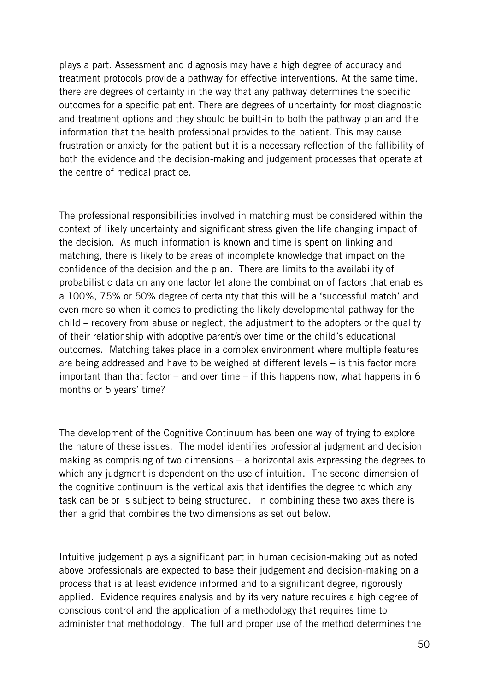plays a part. Assessment and diagnosis may have a high degree of accuracy and treatment protocols provide a pathway for effective interventions. At the same time, there are degrees of certainty in the way that any pathway determines the specific outcomes for a specific patient. There are degrees of uncertainty for most diagnostic and treatment options and they should be built-in to both the pathway plan and the information that the health professional provides to the patient. This may cause frustration or anxiety for the patient but it is a necessary reflection of the fallibility of both the evidence and the decision-making and judgement processes that operate at the centre of medical practice.

The professional responsibilities involved in matching must be considered within the context of likely uncertainty and significant stress given the life changing impact of the decision. As much information is known and time is spent on linking and matching, there is likely to be areas of incomplete knowledge that impact on the confidence of the decision and the plan. There are limits to the availability of probabilistic data on any one factor let alone the combination of factors that enables a 100%, 75% or 50% degree of certainty that this will be a 'successful match' and even more so when it comes to predicting the likely developmental pathway for the child – recovery from abuse or neglect, the adjustment to the adopters or the quality of their relationship with adoptive parent/s over time or the child's educational outcomes. Matching takes place in a complex environment where multiple features are being addressed and have to be weighed at different levels – is this factor more important than that factor – and over time – if this happens now, what happens in 6 months or 5 years' time?

The development of the Cognitive Continuum has been one way of trying to explore the nature of these issues. The model identifies professional judgment and decision making as comprising of two dimensions – a horizontal axis expressing the degrees to which any judgment is dependent on the use of intuition. The second dimension of the cognitive continuum is the vertical axis that identifies the degree to which any task can be or is subject to being structured. In combining these two axes there is then a grid that combines the two dimensions as set out below.

Intuitive judgement plays a significant part in human decision-making but as noted above professionals are expected to base their judgement and decision-making on a process that is at least evidence informed and to a significant degree, rigorously applied. Evidence requires analysis and by its very nature requires a high degree of conscious control and the application of a methodology that requires time to administer that methodology. The full and proper use of the method determines the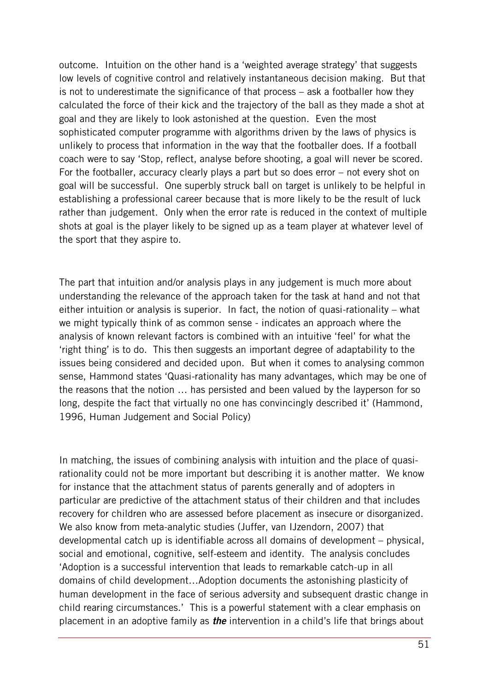outcome. Intuition on the other hand is a 'weighted average strategy' that suggests low levels of cognitive control and relatively instantaneous decision making. But that is not to underestimate the significance of that process – ask a footballer how they calculated the force of their kick and the trajectory of the ball as they made a shot at goal and they are likely to look astonished at the question. Even the most sophisticated computer programme with algorithms driven by the laws of physics is unlikely to process that information in the way that the footballer does. If a football coach were to say 'Stop, reflect, analyse before shooting, a goal will never be scored. For the footballer, accuracy clearly plays a part but so does error – not every shot on goal will be successful. One superbly struck ball on target is unlikely to be helpful in establishing a professional career because that is more likely to be the result of luck rather than judgement. Only when the error rate is reduced in the context of multiple shots at goal is the player likely to be signed up as a team player at whatever level of the sport that they aspire to.

The part that intuition and/or analysis plays in any judgement is much more about understanding the relevance of the approach taken for the task at hand and not that either intuition or analysis is superior. In fact, the notion of quasi-rationality – what we might typically think of as common sense - indicates an approach where the analysis of known relevant factors is combined with an intuitive 'feel' for what the 'right thing' is to do. This then suggests an important degree of adaptability to the issues being considered and decided upon. But when it comes to analysing common sense, Hammond states 'Quasi-rationality has many advantages, which may be one of the reasons that the notion … has persisted and been valued by the layperson for so long, despite the fact that virtually no one has convincingly described it' (Hammond, 1996, Human Judgement and Social Policy)

In matching, the issues of combining analysis with intuition and the place of quasirationality could not be more important but describing it is another matter. We know for instance that the attachment status of parents generally and of adopters in particular are predictive of the attachment status of their children and that includes recovery for children who are assessed before placement as insecure or disorganized. We also know from meta-analytic studies (Juffer, van IJzendorn, 2007) that developmental catch up is identifiable across all domains of development – physical, social and emotional, cognitive, self-esteem and identity. The analysis concludes 'Adoption is a successful intervention that leads to remarkable catch-up in all domains of child development…Adoption documents the astonishing plasticity of human development in the face of serious adversity and subsequent drastic change in child rearing circumstances.' This is a powerful statement with a clear emphasis on placement in an adoptive family as *the* intervention in a child's life that brings about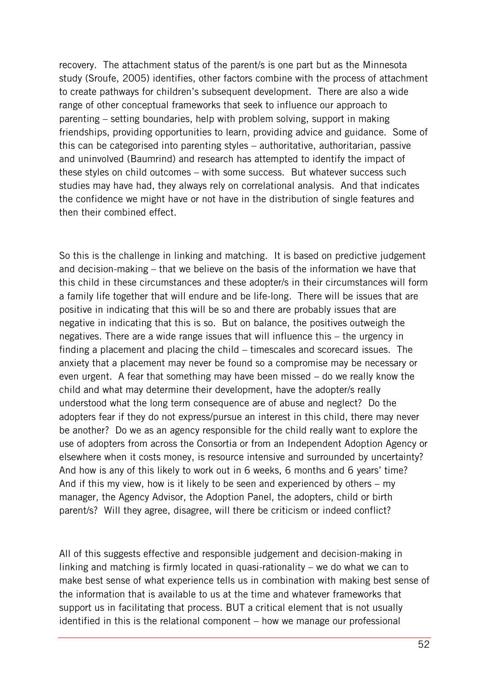recovery. The attachment status of the parent/s is one part but as the Minnesota study (Sroufe, 2005) identifies, other factors combine with the process of attachment to create pathways for children's subsequent development. There are also a wide range of other conceptual frameworks that seek to influence our approach to parenting – setting boundaries, help with problem solving, support in making friendships, providing opportunities to learn, providing advice and guidance. Some of this can be categorised into parenting styles – authoritative, authoritarian, passive and uninvolved (Baumrind) and research has attempted to identify the impact of these styles on child outcomes – with some success. But whatever success such studies may have had, they always rely on correlational analysis. And that indicates the confidence we might have or not have in the distribution of single features and then their combined effect.

So this is the challenge in linking and matching. It is based on predictive judgement and decision-making – that we believe on the basis of the information we have that this child in these circumstances and these adopter/s in their circumstances will form a family life together that will endure and be life-long. There will be issues that are positive in indicating that this will be so and there are probably issues that are negative in indicating that this is so. But on balance, the positives outweigh the negatives. There are a wide range issues that will influence this – the urgency in finding a placement and placing the child – timescales and scorecard issues. The anxiety that a placement may never be found so a compromise may be necessary or even urgent. A fear that something may have been missed – do we really know the child and what may determine their development, have the adopter/s really understood what the long term consequence are of abuse and neglect? Do the adopters fear if they do not express/pursue an interest in this child, there may never be another? Do we as an agency responsible for the child really want to explore the use of adopters from across the Consortia or from an Independent Adoption Agency or elsewhere when it costs money, is resource intensive and surrounded by uncertainty? And how is any of this likely to work out in 6 weeks, 6 months and 6 years' time? And if this my view, how is it likely to be seen and experienced by others – my manager, the Agency Advisor, the Adoption Panel, the adopters, child or birth parent/s? Will they agree, disagree, will there be criticism or indeed conflict?

All of this suggests effective and responsible judgement and decision-making in linking and matching is firmly located in quasi-rationality – we do what we can to make best sense of what experience tells us in combination with making best sense of the information that is available to us at the time and whatever frameworks that support us in facilitating that process. BUT a critical element that is not usually identified in this is the relational component – how we manage our professional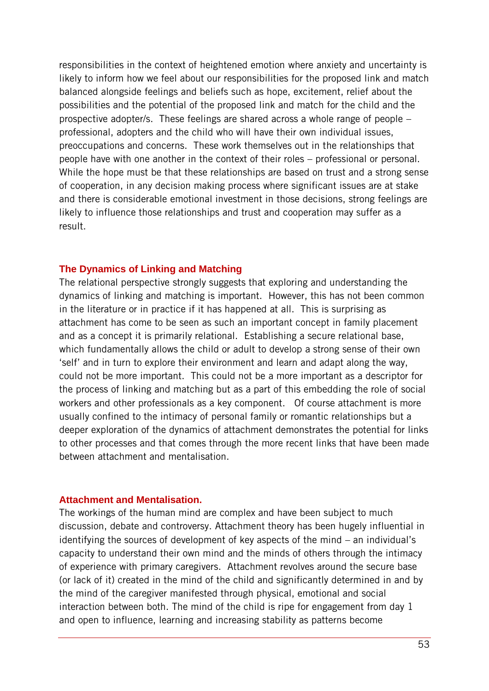responsibilities in the context of heightened emotion where anxiety and uncertainty is likely to inform how we feel about our responsibilities for the proposed link and match balanced alongside feelings and beliefs such as hope, excitement, relief about the possibilities and the potential of the proposed link and match for the child and the prospective adopter/s. These feelings are shared across a whole range of people – professional, adopters and the child who will have their own individual issues, preoccupations and concerns. These work themselves out in the relationships that people have with one another in the context of their roles – professional or personal. While the hope must be that these relationships are based on trust and a strong sense of cooperation, in any decision making process where significant issues are at stake and there is considerable emotional investment in those decisions, strong feelings are likely to influence those relationships and trust and cooperation may suffer as a result.

#### <span id="page-52-0"></span>**The Dynamics of Linking and Matching**

The relational perspective strongly suggests that exploring and understanding the dynamics of linking and matching is important. However, this has not been common in the literature or in practice if it has happened at all. This is surprising as attachment has come to be seen as such an important concept in family placement and as a concept it is primarily relational. Establishing a secure relational base, which fundamentally allows the child or adult to develop a strong sense of their own 'self' and in turn to explore their environment and learn and adapt along the way, could not be more important. This could not be a more important as a descriptor for the process of linking and matching but as a part of this embedding the role of social workers and other professionals as a key component. Of course attachment is more usually confined to the intimacy of personal family or romantic relationships but a deeper exploration of the dynamics of attachment demonstrates the potential for links to other processes and that comes through the more recent links that have been made between attachment and mentalisation.

#### <span id="page-52-1"></span>**Attachment and Mentalisation.**

The workings of the human mind are complex and have been subject to much discussion, debate and controversy. Attachment theory has been hugely influential in identifying the sources of development of key aspects of the mind – an individual's capacity to understand their own mind and the minds of others through the intimacy of experience with primary caregivers. Attachment revolves around the secure base (or lack of it) created in the mind of the child and significantly determined in and by the mind of the caregiver manifested through physical, emotional and social interaction between both. The mind of the child is ripe for engagement from day 1 and open to influence, learning and increasing stability as patterns become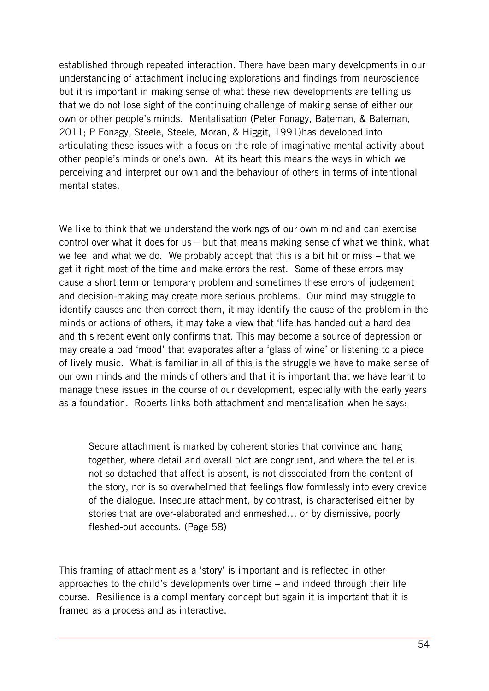established through repeated interaction. There have been many developments in our understanding of attachment including explorations and findings from neuroscience but it is important in making sense of what these new developments are telling us that we do not lose sight of the continuing challenge of making sense of either our own or other people's minds. Mentalisation (Peter Fonagy, Bateman, & Bateman, 2011; P Fonagy, Steele, Steele, Moran, & Higgit, 1991)has developed into articulating these issues with a focus on the role of imaginative mental activity about other people's minds or one's own. At its heart this means the ways in which we perceiving and interpret our own and the behaviour of others in terms of intentional mental states.

We like to think that we understand the workings of our own mind and can exercise control over what it does for us – but that means making sense of what we think, what we feel and what we do. We probably accept that this is a bit hit or miss – that we get it right most of the time and make errors the rest. Some of these errors may cause a short term or temporary problem and sometimes these errors of judgement and decision-making may create more serious problems. Our mind may struggle to identify causes and then correct them, it may identify the cause of the problem in the minds or actions of others, it may take a view that 'life has handed out a hard deal and this recent event only confirms that. This may become a source of depression or may create a bad 'mood' that evaporates after a 'glass of wine' or listening to a piece of lively music. What is familiar in all of this is the struggle we have to make sense of our own minds and the minds of others and that it is important that we have learnt to manage these issues in the course of our development, especially with the early years as a foundation. Roberts links both attachment and mentalisation when he says:

Secure attachment is marked by coherent stories that convince and hang together, where detail and overall plot are congruent, and where the teller is not so detached that affect is absent, is not dissociated from the content of the story, nor is so overwhelmed that feelings flow formlessly into every crevice of the dialogue. Insecure attachment, by contrast, is characterised either by stories that are over-elaborated and enmeshed… or by dismissive, poorly fleshed-out accounts. (Page 58)

This framing of attachment as a 'story' is important and is reflected in other approaches to the child's developments over time – and indeed through their life course. Resilience is a complimentary concept but again it is important that it is framed as a process and as interactive.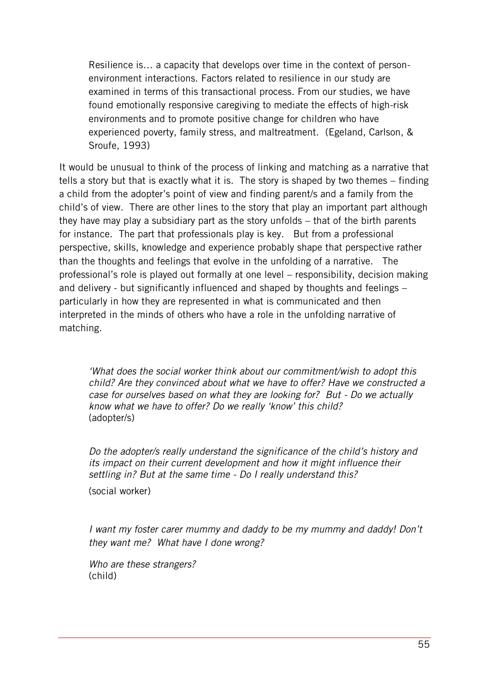Resilience is… a capacity that develops over time in the context of personenvironment interactions. Factors related to resilience in our study are examined in terms of this transactional process. From our studies, we have found emotionally responsive caregiving to mediate the effects of high-risk environments and to promote positive change for children who have experienced poverty, family stress, and maltreatment. (Egeland, Carlson, & Sroufe, 1993)

It would be unusual to think of the process of linking and matching as a narrative that tells a story but that is exactly what it is. The story is shaped by two themes – finding a child from the adopter's point of view and finding parent/s and a family from the child's of view. There are other lines to the story that play an important part although they have may play a subsidiary part as the story unfolds – that of the birth parents for instance. The part that professionals play is key. But from a professional perspective, skills, knowledge and experience probably shape that perspective rather than the thoughts and feelings that evolve in the unfolding of a narrative. The professional's role is played out formally at one level – responsibility, decision making and delivery - but significantly influenced and shaped by thoughts and feelings – particularly in how they are represented in what is communicated and then interpreted in the minds of others who have a role in the unfolding narrative of matching.

*'What does the social worker think about our commitment/wish to adopt this child? Are they convinced about what we have to offer? Have we constructed a case for ourselves based on what they are looking for? But - Do we actually know what we have to offer? Do we really 'know' this child?* (adopter/s)

*Do the adopter/s really understand the significance of the child's history and its impact on their current development and how it might influence their settling in? But at the same time - Do I really understand this?*

(social worker)

*I want my foster carer mummy and daddy to be my mummy and daddy! Don't they want me? What have I done wrong?*

*Who are these strangers?* (child)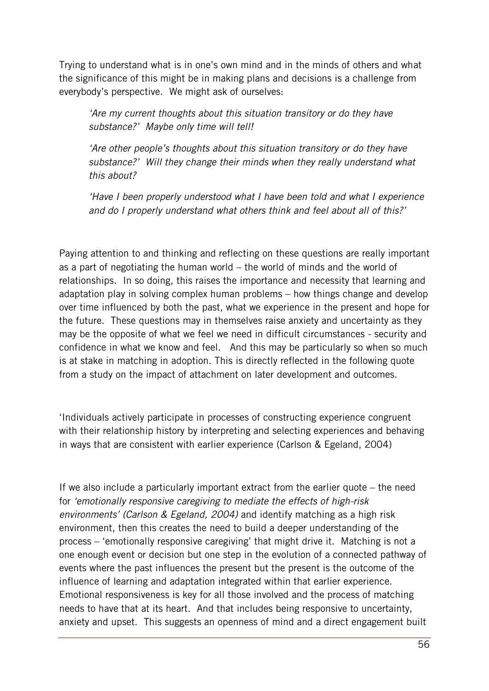Trying to understand what is in one's own mind and in the minds of others and what the significance of this might be in making plans and decisions is a challenge from everybody's perspective. We might ask of ourselves:

*'Are my current thoughts about this situation transitory or do they have substance?' Maybe only time will tell!*

*'Are other people's thoughts about this situation transitory or do they have substance?' Will they change their minds when they really understand what this about?*

*'Have I been properly understood what I have been told and what I experience and do I properly understand what others think and feel about all of this?'* 

Paying attention to and thinking and reflecting on these questions are really important as a part of negotiating the human world – the world of minds and the world of relationships. In so doing, this raises the importance and necessity that learning and adaptation play in solving complex human problems – how things change and develop over time influenced by both the past, what we experience in the present and hope for the future. These questions may in themselves raise anxiety and uncertainty as they may be the opposite of what we feel we need in difficult circumstances - security and confidence in what we know and feel. And this may be particularly so when so much is at stake in matching in adoption. This is directly reflected in the following quote from a study on the impact of attachment on later development and outcomes.

'Individuals actively participate in processes of constructing experience congruent with their relationship history by interpreting and selecting experiences and behaving in ways that are consistent with earlier experience (Carlson & Egeland, 2004)

If we also include a particularly important extract from the earlier quote – the need for *'emotionally responsive caregiving to mediate the effects of high-risk environments' (Carlson & Egeland, 2004)* and identify matching as a high risk environment, then this creates the need to build a deeper understanding of the process – 'emotionally responsive caregiving' that might drive it. Matching is not a one enough event or decision but one step in the evolution of a connected pathway of events where the past influences the present but the present is the outcome of the influence of learning and adaptation integrated within that earlier experience. Emotional responsiveness is key for all those involved and the process of matching needs to have that at its heart. And that includes being responsive to uncertainty, anxiety and upset. This suggests an openness of mind and a direct engagement built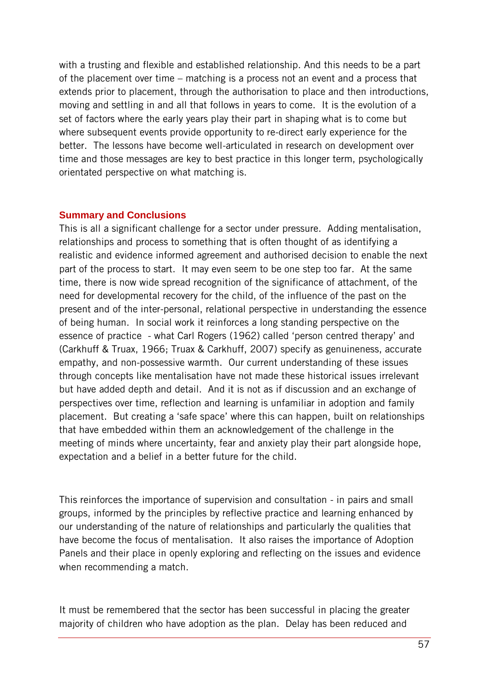with a trusting and flexible and established relationship. And this needs to be a part of the placement over time – matching is a process not an event and a process that extends prior to placement, through the authorisation to place and then introductions, moving and settling in and all that follows in years to come. It is the evolution of a set of factors where the early years play their part in shaping what is to come but where subsequent events provide opportunity to re-direct early experience for the better. The lessons have become well-articulated in research on development over time and those messages are key to best practice in this longer term, psychologically orientated perspective on what matching is.

#### <span id="page-56-0"></span>**Summary and Conclusions**

This is all a significant challenge for a sector under pressure. Adding mentalisation, relationships and process to something that is often thought of as identifying a realistic and evidence informed agreement and authorised decision to enable the next part of the process to start. It may even seem to be one step too far. At the same time, there is now wide spread recognition of the significance of attachment, of the need for developmental recovery for the child, of the influence of the past on the present and of the inter-personal, relational perspective in understanding the essence of being human. In social work it reinforces a long standing perspective on the essence of practice - what Carl Rogers (1962) called 'person centred therapy' and (Carkhuff & Truax, 1966; Truax & Carkhuff, 2007) specify as genuineness, accurate empathy, and non-possessive warmth. Our current understanding of these issues through concepts like mentalisation have not made these historical issues irrelevant but have added depth and detail. And it is not as if discussion and an exchange of perspectives over time, reflection and learning is unfamiliar in adoption and family placement. But creating a 'safe space' where this can happen, built on relationships that have embedded within them an acknowledgement of the challenge in the meeting of minds where uncertainty, fear and anxiety play their part alongside hope, expectation and a belief in a better future for the child.

This reinforces the importance of supervision and consultation - in pairs and small groups, informed by the principles by reflective practice and learning enhanced by our understanding of the nature of relationships and particularly the qualities that have become the focus of mentalisation. It also raises the importance of Adoption Panels and their place in openly exploring and reflecting on the issues and evidence when recommending a match.

It must be remembered that the sector has been successful in placing the greater majority of children who have adoption as the plan. Delay has been reduced and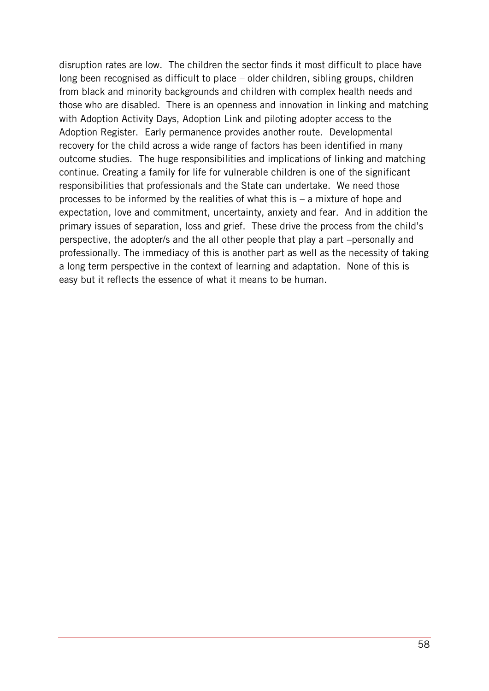disruption rates are low. The children the sector finds it most difficult to place have long been recognised as difficult to place – older children, sibling groups, children from black and minority backgrounds and children with complex health needs and those who are disabled. There is an openness and innovation in linking and matching with Adoption Activity Days, Adoption Link and piloting adopter access to the Adoption Register. Early permanence provides another route. Developmental recovery for the child across a wide range of factors has been identified in many outcome studies. The huge responsibilities and implications of linking and matching continue. Creating a family for life for vulnerable children is one of the significant responsibilities that professionals and the State can undertake. We need those processes to be informed by the realities of what this is – a mixture of hope and expectation, love and commitment, uncertainty, anxiety and fear. And in addition the primary issues of separation, loss and grief. These drive the process from the child's perspective, the adopter/s and the all other people that play a part –personally and professionally. The immediacy of this is another part as well as the necessity of taking a long term perspective in the context of learning and adaptation. None of this is easy but it reflects the essence of what it means to be human.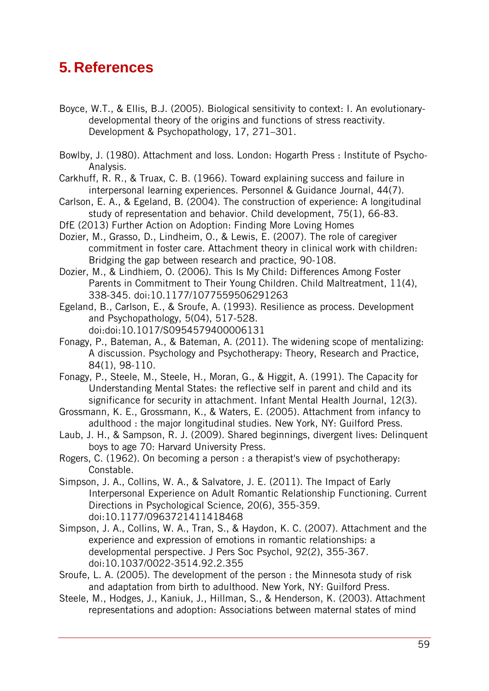## <span id="page-58-0"></span>**5. References**

- Boyce, W.T., & Ellis, B.J. (2005). Biological sensitivity to context: I. An evolutionarydevelopmental theory of the origins and functions of stress reactivity. Development & Psychopathology, 17, 271–301.
- Bowlby, J. (1980). Attachment and loss. London: Hogarth Press : Institute of Psycho-Analysis.
- Carkhuff, R. R., & Truax, C. B. (1966). Toward explaining success and failure in interpersonal learning experiences. Personnel & Guidance Journal, 44(7).
- Carlson, E. A., & Egeland, B. (2004). The construction of experience: A longitudinal study of representation and behavior. Child development, 75(1), 66-83.
- DfE (2013) Further Action on Adoption: Finding More Loving Homes
- Dozier, M., Grasso, D., Lindheim, O., & Lewis, E. (2007). The role of caregiver commitment in foster care. Attachment theory in clinical work with children: Bridging the gap between research and practice, 90-108.
- Dozier, M., & Lindhiem, O. (2006). This Is My Child: Differences Among Foster Parents in Commitment to Their Young Children. Child Maltreatment, 11(4), 338-345. doi:10.1177/1077559506291263
- Egeland, B., Carlson, E., & Sroufe, A. (1993). Resilience as process. Development and Psychopathology, 5(04), 517-528.
	- doi:doi:10.1017/S0954579400006131
- Fonagy, P., Bateman, A., & Bateman, A. (2011). The widening scope of mentalizing: A discussion. Psychology and Psychotherapy: Theory, Research and Practice, 84(1), 98-110.
- Fonagy, P., Steele, M., Steele, H., Moran, G., & Higgit, A. (1991). The Capacity for Understanding Mental States: the reflective self in parent and child and its significance for security in attachment. Infant Mental Health Journal, 12(3).
- Grossmann, K. E., Grossmann, K., & Waters, E. (2005). Attachment from infancy to adulthood : the major longitudinal studies. New York, NY: Guilford Press.
- Laub, J. H., & Sampson, R. J. (2009). Shared beginnings, divergent lives: Delinquent boys to age 70: Harvard University Press.
- Rogers, C. (1962). On becoming a person : a therapist's view of psychotherapy: Constable.
- Simpson, J. A., Collins, W. A., & Salvatore, J. E. (2011). The Impact of Early Interpersonal Experience on Adult Romantic Relationship Functioning. Current Directions in Psychological Science, 20(6), 355-359. doi:10.1177/0963721411418468
- Simpson, J. A., Collins, W. A., Tran, S., & Haydon, K. C. (2007). Attachment and the experience and expression of emotions in romantic relationships: a developmental perspective. J Pers Soc Psychol, 92(2), 355-367. doi:10.1037/0022-3514.92.2.355
- Sroufe, L. A. (2005). The development of the person : the Minnesota study of risk and adaptation from birth to adulthood. New York, NY: Guilford Press.
- Steele, M., Hodges, J., Kaniuk, J., Hillman, S., & Henderson, K. (2003). Attachment representations and adoption: Associations between maternal states of mind